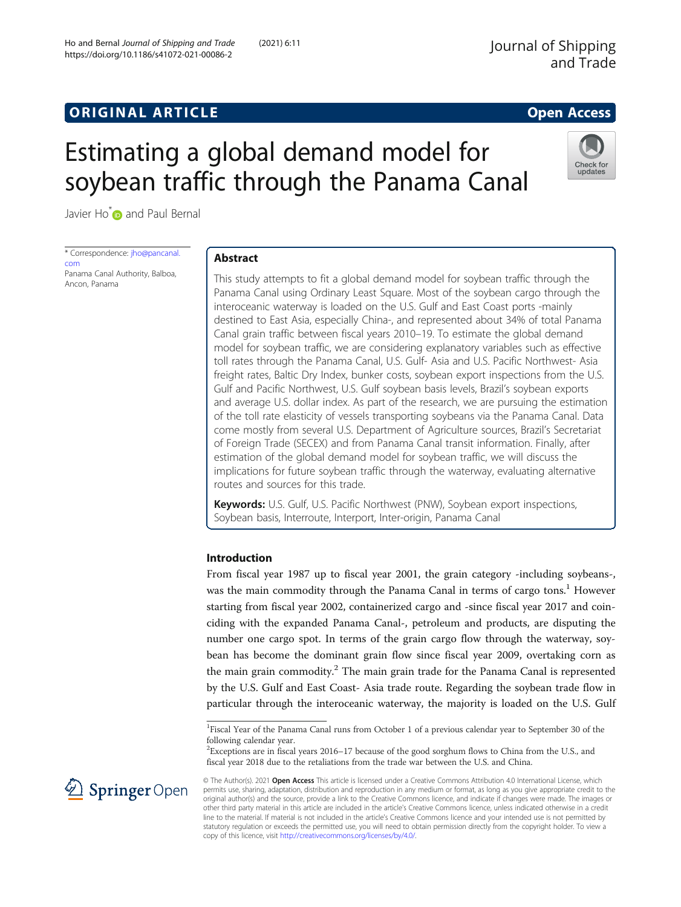# **ORIGINAL ARTICLE CONSERVANCE IN A LOCAL CONSERVANCE IN A LOCAL CONSERVANCE IN A LOCAL CONSERVANCE IN A LOCAL CONSERVANCE IN A LOCAL CONSERVANCE IN A LOCAL CONSERVANCE IN A LOCAL CONSERVANCE IN A LOCAL CONSERVANCE IN A L**

Check for update

# Estimating a global demand model for soybean traffic through the Panama Canal

Javier Ho<sup>[\\*](http://orcid.org/0000-0002-0337-7116)</sup> and Paul Bernal

\* Correspondence: [jho@pancanal.](mailto:jho@pancanal.com) [com](mailto:jho@pancanal.com) Panama Canal Authority, Balboa, Ancon, Panama

# Abstract

This study attempts to fit a global demand model for soybean traffic through the Panama Canal using Ordinary Least Square. Most of the soybean cargo through the interoceanic waterway is loaded on the U.S. Gulf and East Coast ports -mainly destined to East Asia, especially China-, and represented about 34% of total Panama Canal grain traffic between fiscal years 2010–19. To estimate the global demand model for soybean traffic, we are considering explanatory variables such as effective toll rates through the Panama Canal, U.S. Gulf- Asia and U.S. Pacific Northwest- Asia freight rates, Baltic Dry Index, bunker costs, soybean export inspections from the U.S. Gulf and Pacific Northwest, U.S. Gulf soybean basis levels, Brazil's soybean exports and average U.S. dollar index. As part of the research, we are pursuing the estimation of the toll rate elasticity of vessels transporting soybeans via the Panama Canal. Data come mostly from several U.S. Department of Agriculture sources, Brazil's Secretariat of Foreign Trade (SECEX) and from Panama Canal transit information. Finally, after estimation of the global demand model for soybean traffic, we will discuss the implications for future soybean traffic through the waterway, evaluating alternative routes and sources for this trade.

Keywords: U.S. Gulf, U.S. Pacific Northwest (PNW), Soybean export inspections, Soybean basis, Interroute, Interport, Inter-origin, Panama Canal

# Introduction

From fiscal year 1987 up to fiscal year 2001, the grain category -including soybeans-, was the main commodity through the Panama Canal in terms of cargo tons.<sup>1</sup> However starting from fiscal year 2002, containerized cargo and -since fiscal year 2017 and coinciding with the expanded Panama Canal-, petroleum and products, are disputing the number one cargo spot. In terms of the grain cargo flow through the waterway, soybean has become the dominant grain flow since fiscal year 2009, overtaking corn as the main grain commodity.<sup>2</sup> The main grain trade for the Panama Canal is represented by the U.S. Gulf and East Coast- Asia trade route. Regarding the soybean trade flow in particular through the interoceanic waterway, the majority is loaded on the U.S. Gulf

 ${}^{2}$ Exceptions are in fiscal years 2016–17 because of the good sorghum flows to China from the U.S., and fiscal year 2018 due to the retaliations from the trade war between the U.S. and China.



<sup>©</sup> The Author(s). 2021 Open Access This article is licensed under a Creative Commons Attribution 4.0 International License, which permits use, sharing, adaptation, distribution and reproduction in any medium or format, as long as you give appropriate credit to the original author(s) and the source, provide a link to the Creative Commons licence, and indicate if changes were made. The images or other third party material in this article are included in the article's Creative Commons licence, unless indicated otherwise in a credit line to the material. If material is not included in the article's Creative Commons licence and your intended use is not permitted by statutory regulation or exceeds the permitted use, you will need to obtain permission directly from the copyright holder. To view a copy of this licence, visit <http://creativecommons.org/licenses/by/4.0/>.

<sup>&</sup>lt;sup>1</sup>Fiscal Year of the Panama Canal runs from October 1 of a previous calendar year to September 30 of the following calendar year.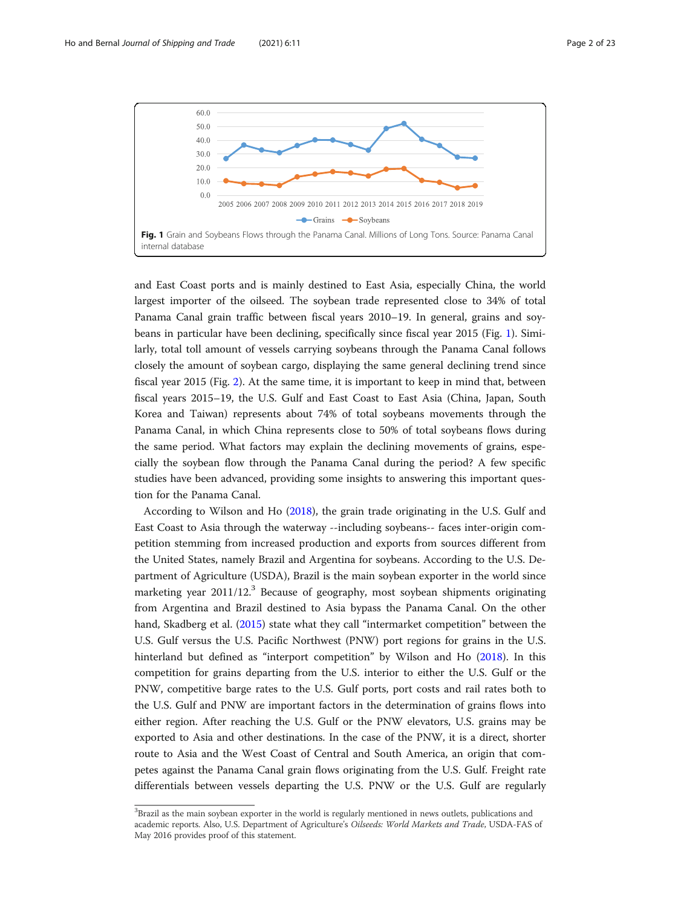

and East Coast ports and is mainly destined to East Asia, especially China, the world largest importer of the oilseed. The soybean trade represented close to 34% of total Panama Canal grain traffic between fiscal years 2010–19. In general, grains and soybeans in particular have been declining, specifically since fiscal year 2015 (Fig. 1). Similarly, total toll amount of vessels carrying soybeans through the Panama Canal follows closely the amount of soybean cargo, displaying the same general declining trend since fiscal year 2015 (Fig. [2\)](#page-2-0). At the same time, it is important to keep in mind that, between fiscal years 2015–19, the U.S. Gulf and East Coast to East Asia (China, Japan, South Korea and Taiwan) represents about 74% of total soybeans movements through the Panama Canal, in which China represents close to 50% of total soybeans flows during the same period. What factors may explain the declining movements of grains, especially the soybean flow through the Panama Canal during the period? A few specific studies have been advanced, providing some insights to answering this important question for the Panama Canal.

According to Wilson and Ho [\(2018\)](#page-22-0), the grain trade originating in the U.S. Gulf and East Coast to Asia through the waterway --including soybeans-- faces inter-origin competition stemming from increased production and exports from sources different from the United States, namely Brazil and Argentina for soybeans. According to the U.S. Department of Agriculture (USDA), Brazil is the main soybean exporter in the world since marketing year 2011/12.<sup>3</sup> Because of geography, most soybean shipments originating from Argentina and Brazil destined to Asia bypass the Panama Canal. On the other hand, Skadberg et al. ([2015](#page-22-0)) state what they call "intermarket competition" between the U.S. Gulf versus the U.S. Pacific Northwest (PNW) port regions for grains in the U.S. hinterland but defined as "interport competition" by Wilson and Ho ([2018\)](#page-22-0). In this competition for grains departing from the U.S. interior to either the U.S. Gulf or the PNW, competitive barge rates to the U.S. Gulf ports, port costs and rail rates both to the U.S. Gulf and PNW are important factors in the determination of grains flows into either region. After reaching the U.S. Gulf or the PNW elevators, U.S. grains may be exported to Asia and other destinations. In the case of the PNW, it is a direct, shorter route to Asia and the West Coast of Central and South America, an origin that competes against the Panama Canal grain flows originating from the U.S. Gulf. Freight rate differentials between vessels departing the U.S. PNW or the U.S. Gulf are regularly

 ${}^{3}$ Brazil as the main soybean exporter in the world is regularly mentioned in news outlets, publications and academic reports. Also, U.S. Department of Agriculture's Oilseeds: World Markets and Trade, USDA-FAS of May 2016 provides proof of this statement.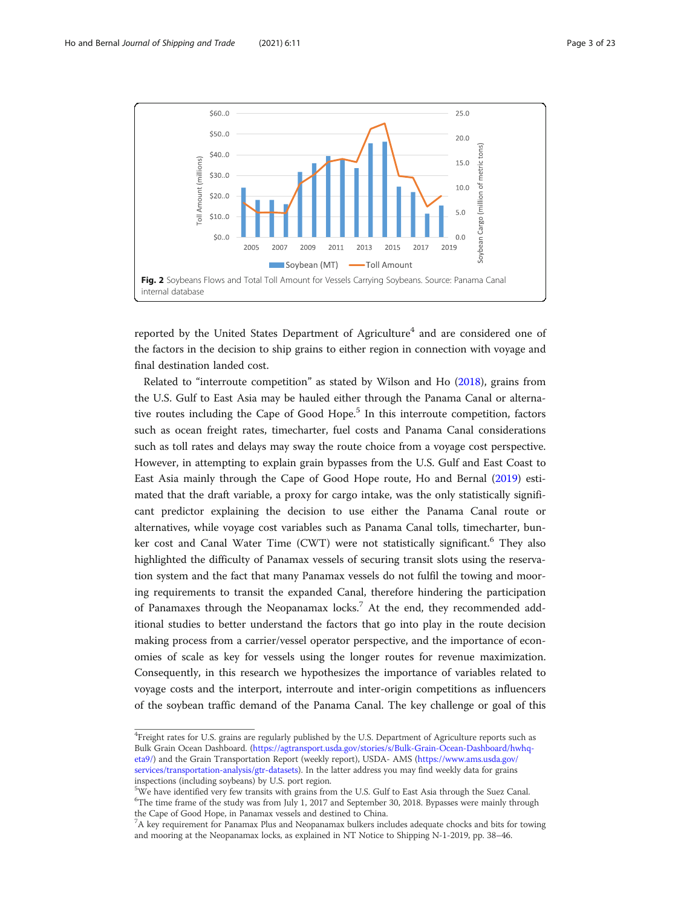<span id="page-2-0"></span>

reported by the United States Department of Agriculture<sup>4</sup> and are considered one of the factors in the decision to ship grains to either region in connection with voyage and final destination landed cost.

Related to "interroute competition" as stated by Wilson and Ho ([2018](#page-22-0)), grains from the U.S. Gulf to East Asia may be hauled either through the Panama Canal or alternative routes including the Cape of Good Hope.<sup>5</sup> In this interroute competition, factors such as ocean freight rates, timecharter, fuel costs and Panama Canal considerations such as toll rates and delays may sway the route choice from a voyage cost perspective. However, in attempting to explain grain bypasses from the U.S. Gulf and East Coast to East Asia mainly through the Cape of Good Hope route, Ho and Bernal [\(2019\)](#page-21-0) estimated that the draft variable, a proxy for cargo intake, was the only statistically significant predictor explaining the decision to use either the Panama Canal route or alternatives, while voyage cost variables such as Panama Canal tolls, timecharter, bunker cost and Canal Water Time (CWT) were not statistically significant.<sup>6</sup> They also highlighted the difficulty of Panamax vessels of securing transit slots using the reservation system and the fact that many Panamax vessels do not fulfil the towing and mooring requirements to transit the expanded Canal, therefore hindering the participation of Panamaxes through the Neopanamax locks.<sup>7</sup> At the end, they recommended additional studies to better understand the factors that go into play in the route decision making process from a carrier/vessel operator perspective, and the importance of economies of scale as key for vessels using the longer routes for revenue maximization. Consequently, in this research we hypothesizes the importance of variables related to voyage costs and the interport, interroute and inter-origin competitions as influencers of the soybean traffic demand of the Panama Canal. The key challenge or goal of this

<sup>&</sup>lt;sup>4</sup>Freight rates for U.S. grains are regularly published by the U.S. Department of Agriculture reports such as Bulk Grain Ocean Dashboard. [\(https://agtransport.usda.gov/stories/s/Bulk-Grain-Ocean-Dashboard/hwhq](https://agtransport.usda.gov/stories/s/Bulk-Grain-Ocean-Dashboard/hwhq-eta9/)[eta9/\)](https://agtransport.usda.gov/stories/s/Bulk-Grain-Ocean-Dashboard/hwhq-eta9/) and the Grain Transportation Report (weekly report), USDA- AMS [\(https://www.ams.usda.gov/](https://www.ams.usda.gov/services/transportation-analysis/gtr-datasets) [services/transportation-analysis/gtr-datasets\)](https://www.ams.usda.gov/services/transportation-analysis/gtr-datasets). In the latter address you may find weekly data for grains inspections (including soybeans) by U.S. port region.

<sup>&</sup>lt;sup>5</sup>We have identified very few transits with grains from the U.S. Gulf to East Asia through the Suez Canal. 6 The time frame of the study was from July 1, 2017 and September 30, 2018. Bypasses were mainly through the Cape of Good Hope, in Panamax vessels and destined to China.

<sup>&</sup>lt;sup>7</sup>A key requirement for Panamax Plus and Neopanamax bulkers includes adequate chocks and bits for towing and mooring at the Neopanamax locks, as explained in NT Notice to Shipping N-1-2019, pp. 38–46.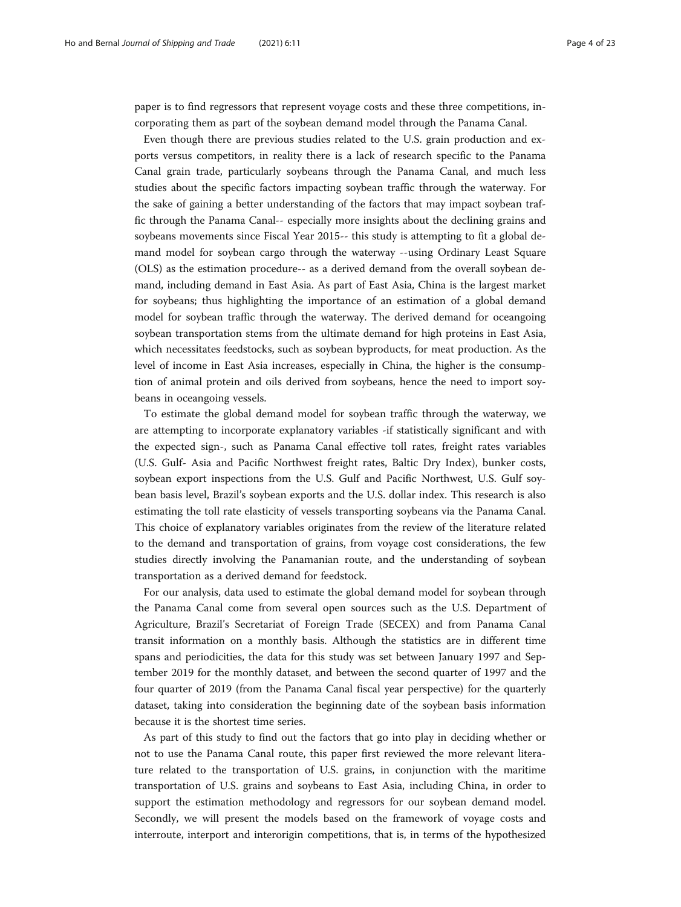paper is to find regressors that represent voyage costs and these three competitions, incorporating them as part of the soybean demand model through the Panama Canal.

Even though there are previous studies related to the U.S. grain production and exports versus competitors, in reality there is a lack of research specific to the Panama Canal grain trade, particularly soybeans through the Panama Canal, and much less studies about the specific factors impacting soybean traffic through the waterway. For the sake of gaining a better understanding of the factors that may impact soybean traffic through the Panama Canal-- especially more insights about the declining grains and soybeans movements since Fiscal Year 2015-- this study is attempting to fit a global demand model for soybean cargo through the waterway --using Ordinary Least Square (OLS) as the estimation procedure-- as a derived demand from the overall soybean demand, including demand in East Asia. As part of East Asia, China is the largest market for soybeans; thus highlighting the importance of an estimation of a global demand model for soybean traffic through the waterway. The derived demand for oceangoing soybean transportation stems from the ultimate demand for high proteins in East Asia, which necessitates feedstocks, such as soybean byproducts, for meat production. As the level of income in East Asia increases, especially in China, the higher is the consumption of animal protein and oils derived from soybeans, hence the need to import soybeans in oceangoing vessels.

To estimate the global demand model for soybean traffic through the waterway, we are attempting to incorporate explanatory variables -if statistically significant and with the expected sign-, such as Panama Canal effective toll rates, freight rates variables (U.S. Gulf- Asia and Pacific Northwest freight rates, Baltic Dry Index), bunker costs, soybean export inspections from the U.S. Gulf and Pacific Northwest, U.S. Gulf soybean basis level, Brazil's soybean exports and the U.S. dollar index. This research is also estimating the toll rate elasticity of vessels transporting soybeans via the Panama Canal. This choice of explanatory variables originates from the review of the literature related to the demand and transportation of grains, from voyage cost considerations, the few studies directly involving the Panamanian route, and the understanding of soybean transportation as a derived demand for feedstock.

For our analysis, data used to estimate the global demand model for soybean through the Panama Canal come from several open sources such as the U.S. Department of Agriculture, Brazil's Secretariat of Foreign Trade (SECEX) and from Panama Canal transit information on a monthly basis. Although the statistics are in different time spans and periodicities, the data for this study was set between January 1997 and September 2019 for the monthly dataset, and between the second quarter of 1997 and the four quarter of 2019 (from the Panama Canal fiscal year perspective) for the quarterly dataset, taking into consideration the beginning date of the soybean basis information because it is the shortest time series.

As part of this study to find out the factors that go into play in deciding whether or not to use the Panama Canal route, this paper first reviewed the more relevant literature related to the transportation of U.S. grains, in conjunction with the maritime transportation of U.S. grains and soybeans to East Asia, including China, in order to support the estimation methodology and regressors for our soybean demand model. Secondly, we will present the models based on the framework of voyage costs and interroute, interport and interorigin competitions, that is, in terms of the hypothesized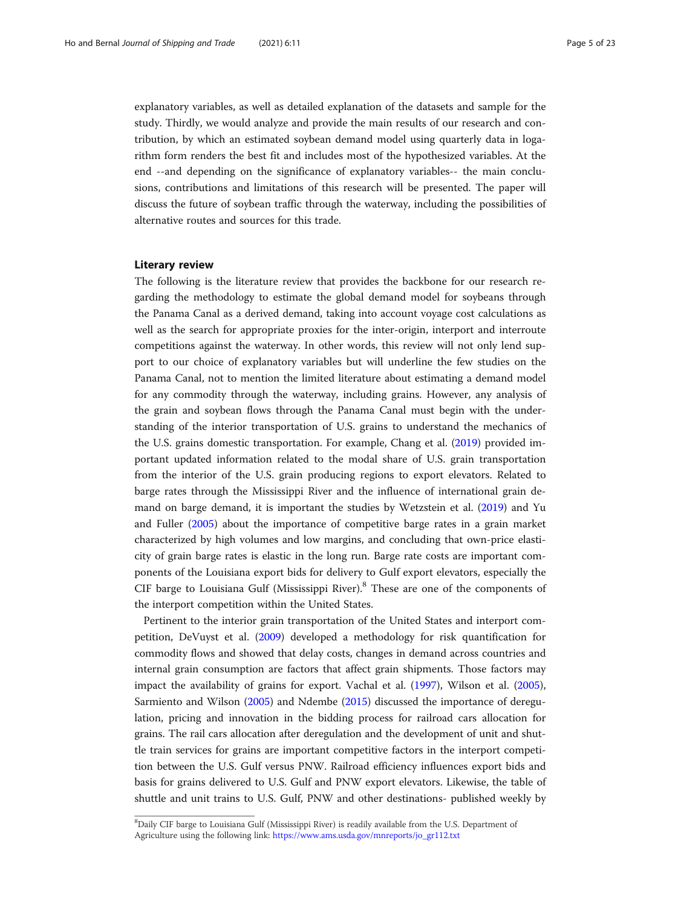explanatory variables, as well as detailed explanation of the datasets and sample for the study. Thirdly, we would analyze and provide the main results of our research and contribution, by which an estimated soybean demand model using quarterly data in logarithm form renders the best fit and includes most of the hypothesized variables. At the end --and depending on the significance of explanatory variables-- the main conclusions, contributions and limitations of this research will be presented. The paper will discuss the future of soybean traffic through the waterway, including the possibilities of alternative routes and sources for this trade.

#### Literary review

The following is the literature review that provides the backbone for our research regarding the methodology to estimate the global demand model for soybeans through the Panama Canal as a derived demand, taking into account voyage cost calculations as well as the search for appropriate proxies for the inter-origin, interport and interroute competitions against the waterway. In other words, this review will not only lend support to our choice of explanatory variables but will underline the few studies on the Panama Canal, not to mention the limited literature about estimating a demand model for any commodity through the waterway, including grains. However, any analysis of the grain and soybean flows through the Panama Canal must begin with the understanding of the interior transportation of U.S. grains to understand the mechanics of the U.S. grains domestic transportation. For example, Chang et al. [\(2019\)](#page-21-0) provided important updated information related to the modal share of U.S. grain transportation from the interior of the U.S. grain producing regions to export elevators. Related to barge rates through the Mississippi River and the influence of international grain demand on barge demand, it is important the studies by Wetzstein et al. ([2019\)](#page-22-0) and Yu and Fuller ([2005](#page-22-0)) about the importance of competitive barge rates in a grain market characterized by high volumes and low margins, and concluding that own-price elasticity of grain barge rates is elastic in the long run. Barge rate costs are important components of the Louisiana export bids for delivery to Gulf export elevators, especially the CIF barge to Louisiana Gulf (Mississippi River). $8$  These are one of the components of the interport competition within the United States.

Pertinent to the interior grain transportation of the United States and interport competition, DeVuyst et al. [\(2009\)](#page-21-0) developed a methodology for risk quantification for commodity flows and showed that delay costs, changes in demand across countries and internal grain consumption are factors that affect grain shipments. Those factors may impact the availability of grains for export. Vachal et al. [\(1997\)](#page-22-0), Wilson et al. ([2005](#page-22-0)), Sarmiento and Wilson ([2005](#page-21-0)) and Ndembe ([2015\)](#page-21-0) discussed the importance of deregulation, pricing and innovation in the bidding process for railroad cars allocation for grains. The rail cars allocation after deregulation and the development of unit and shuttle train services for grains are important competitive factors in the interport competition between the U.S. Gulf versus PNW. Railroad efficiency influences export bids and basis for grains delivered to U.S. Gulf and PNW export elevators. Likewise, the table of shuttle and unit trains to U.S. Gulf, PNW and other destinations- published weekly by

<sup>&</sup>lt;sup>8</sup>Daily CIF barge to Louisiana Gulf (Mississippi River) is readily available from the U.S. Department of Agriculture using the following link: [https://www.ams.usda.gov/mnreports/jo\\_gr112.txt](https://www.ams.usda.gov/mnreports/jo_gr112.txt)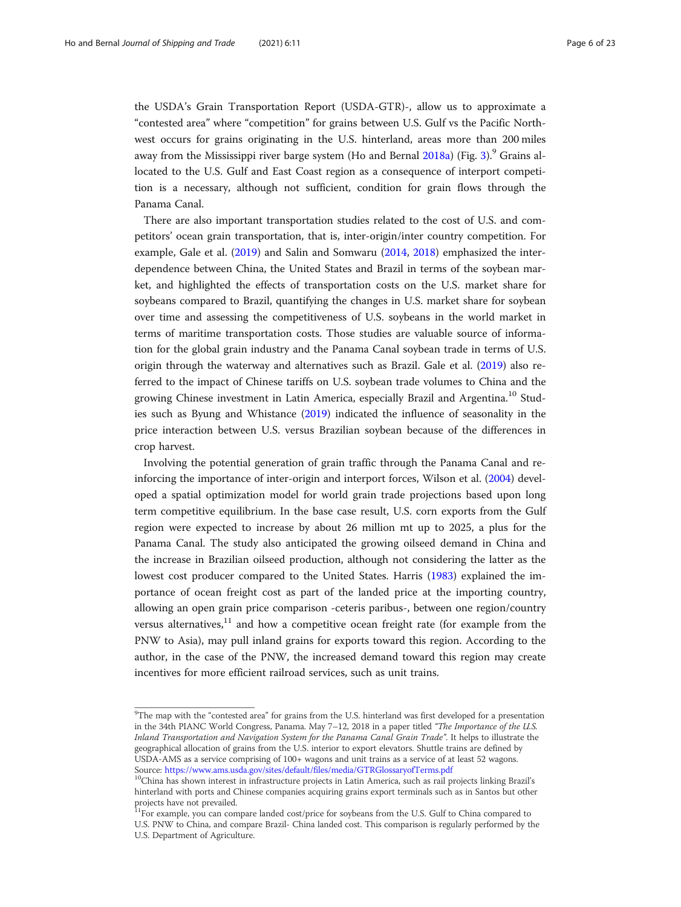the USDA's Grain Transportation Report (USDA-GTR)-, allow us to approximate a "contested area" where "competition" for grains between U.S. Gulf vs the Pacific Northwest occurs for grains originating in the U.S. hinterland, areas more than 200 miles away from the Mississippi river barge system (Ho and Bernal  $2018a$ ) (Fig. [3](#page-6-0)).<sup>9</sup> Grains allocated to the U.S. Gulf and East Coast region as a consequence of interport competition is a necessary, although not sufficient, condition for grain flows through the Panama Canal.

There are also important transportation studies related to the cost of U.S. and competitors' ocean grain transportation, that is, inter-origin/inter country competition. For example, Gale et al. [\(2019](#page-21-0)) and Salin and Somwaru [\(2014](#page-21-0), [2018](#page-21-0)) emphasized the interdependence between China, the United States and Brazil in terms of the soybean market, and highlighted the effects of transportation costs on the U.S. market share for soybeans compared to Brazil, quantifying the changes in U.S. market share for soybean over time and assessing the competitiveness of U.S. soybeans in the world market in terms of maritime transportation costs. Those studies are valuable source of information for the global grain industry and the Panama Canal soybean trade in terms of U.S. origin through the waterway and alternatives such as Brazil. Gale et al. [\(2019\)](#page-21-0) also referred to the impact of Chinese tariffs on U.S. soybean trade volumes to China and the growing Chinese investment in Latin America, especially Brazil and Argentina.<sup>10</sup> Studies such as Byung and Whistance ([2019](#page-21-0)) indicated the influence of seasonality in the price interaction between U.S. versus Brazilian soybean because of the differences in crop harvest.

Involving the potential generation of grain traffic through the Panama Canal and reinforcing the importance of inter-origin and interport forces, Wilson et al. [\(2004\)](#page-22-0) developed a spatial optimization model for world grain trade projections based upon long term competitive equilibrium. In the base case result, U.S. corn exports from the Gulf region were expected to increase by about 26 million mt up to 2025, a plus for the Panama Canal. The study also anticipated the growing oilseed demand in China and the increase in Brazilian oilseed production, although not considering the latter as the lowest cost producer compared to the United States. Harris ([1983\)](#page-21-0) explained the importance of ocean freight cost as part of the landed price at the importing country, allowing an open grain price comparison -ceteris paribus-, between one region/country versus alternatives, $11$  and how a competitive ocean freight rate (for example from the PNW to Asia), may pull inland grains for exports toward this region. According to the author, in the case of the PNW, the increased demand toward this region may create incentives for more efficient railroad services, such as unit trains.

 $9$ The map with the "contested area" for grains from the U.S. hinterland was first developed for a presentation in the 34th PIANC World Congress, Panama. May 7-12, 2018 in a paper titled "The Importance of the U.S. Inland Transportation and Navigation System for the Panama Canal Grain Trade". It helps to illustrate the geographical allocation of grains from the U.S. interior to export elevators. Shuttle trains are defined by USDA-AMS as a service comprising of 100+ wagons and unit trains as a service of at least 52 wagons.

Source: <https://www.ams.usda.gov/sites/default/files/media/GTRGlossaryofTerms.pdf><br><sup>10</sup>China has shown interest in infrastructure projects in Latin America, such as rail projects linking Brazil's hinterland with ports and Chinese companies acquiring grains export terminals such as in Santos but other projects have not prevailed.<br><sup>11</sup>For example, you can compare landed cost/price for soybeans from the U.S. Gulf to China compared to

U.S. PNW to China, and compare Brazil- China landed cost. This comparison is regularly performed by the U.S. Department of Agriculture.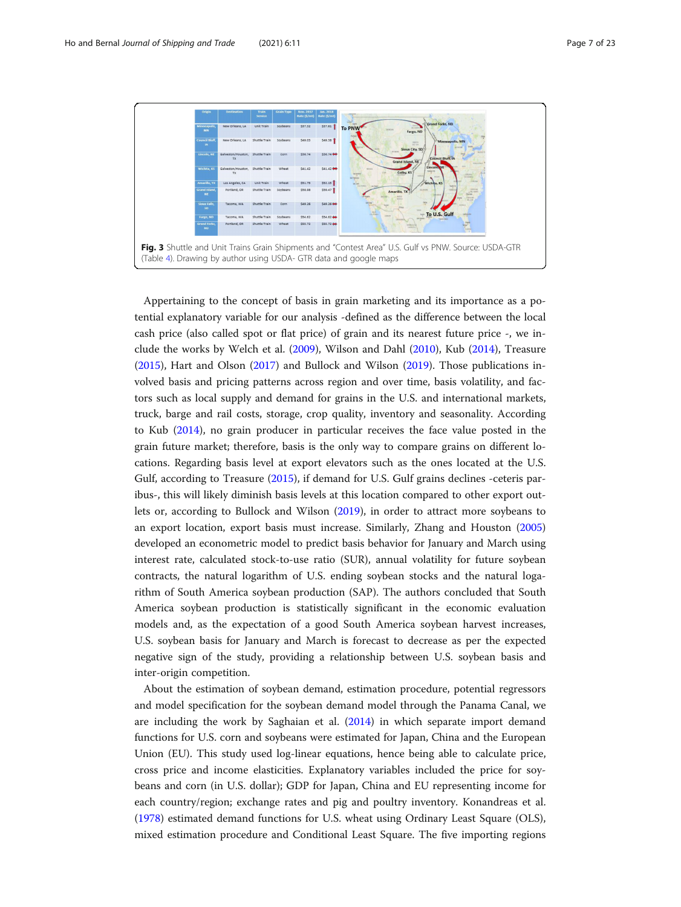<span id="page-6-0"></span>

Appertaining to the concept of basis in grain marketing and its importance as a potential explanatory variable for our analysis -defined as the difference between the local cash price (also called spot or flat price) of grain and its nearest future price -, we include the works by Welch et al. [\(2009\)](#page-22-0), Wilson and Dahl [\(2010\)](#page-22-0), Kub [\(2014\)](#page-21-0), Treasure ([2015](#page-22-0)), Hart and Olson ([2017](#page-21-0)) and Bullock and Wilson ([2019](#page-21-0)). Those publications involved basis and pricing patterns across region and over time, basis volatility, and factors such as local supply and demand for grains in the U.S. and international markets, truck, barge and rail costs, storage, crop quality, inventory and seasonality. According to Kub ([2014](#page-21-0)), no grain producer in particular receives the face value posted in the grain future market; therefore, basis is the only way to compare grains on different locations. Regarding basis level at export elevators such as the ones located at the U.S. Gulf, according to Treasure [\(2015\)](#page-22-0), if demand for U.S. Gulf grains declines -ceteris paribus-, this will likely diminish basis levels at this location compared to other export outlets or, according to Bullock and Wilson [\(2019\)](#page-21-0), in order to attract more soybeans to an export location, export basis must increase. Similarly, Zhang and Houston ([2005](#page-22-0)) developed an econometric model to predict basis behavior for January and March using interest rate, calculated stock-to-use ratio (SUR), annual volatility for future soybean contracts, the natural logarithm of U.S. ending soybean stocks and the natural logarithm of South America soybean production (SAP). The authors concluded that South America soybean production is statistically significant in the economic evaluation models and, as the expectation of a good South America soybean harvest increases, U.S. soybean basis for January and March is forecast to decrease as per the expected negative sign of the study, providing a relationship between U.S. soybean basis and inter-origin competition.

About the estimation of soybean demand, estimation procedure, potential regressors and model specification for the soybean demand model through the Panama Canal, we are including the work by Saghaian et al. ([2014](#page-21-0)) in which separate import demand functions for U.S. corn and soybeans were estimated for Japan, China and the European Union (EU). This study used log-linear equations, hence being able to calculate price, cross price and income elasticities. Explanatory variables included the price for soybeans and corn (in U.S. dollar); GDP for Japan, China and EU representing income for each country/region; exchange rates and pig and poultry inventory. Konandreas et al. ([1978](#page-21-0)) estimated demand functions for U.S. wheat using Ordinary Least Square (OLS), mixed estimation procedure and Conditional Least Square. The five importing regions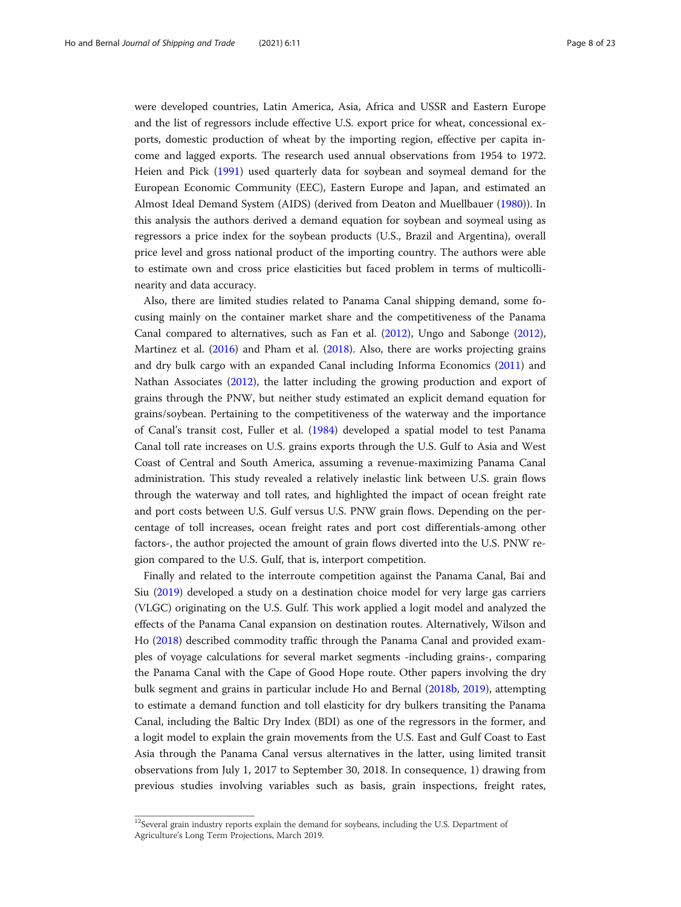were developed countries, Latin America, Asia, Africa and USSR and Eastern Europe and the list of regressors include effective U.S. export price for wheat, concessional exports, domestic production of wheat by the importing region, effective per capita income and lagged exports. The research used annual observations from 1954 to 1972. Heien and Pick [\(1991\)](#page-21-0) used quarterly data for soybean and soymeal demand for the European Economic Community (EEC), Eastern Europe and Japan, and estimated an Almost Ideal Demand System (AIDS) (derived from Deaton and Muellbauer ([1980](#page-21-0))). In this analysis the authors derived a demand equation for soybean and soymeal using as regressors a price index for the soybean products (U.S., Brazil and Argentina), overall price level and gross national product of the importing country. The authors were able to estimate own and cross price elasticities but faced problem in terms of multicollinearity and data accuracy.

Also, there are limited studies related to Panama Canal shipping demand, some focusing mainly on the container market share and the competitiveness of the Panama Canal compared to alternatives, such as Fan et al. ([2012](#page-21-0)), Ungo and Sabonge ([2012](#page-22-0)), Martinez et al. ([2016\)](#page-21-0) and Pham et al. ([2018\)](#page-21-0). Also, there are works projecting grains and dry bulk cargo with an expanded Canal including Informa Economics [\(2011\)](#page-21-0) and Nathan Associates ([2012](#page-21-0)), the latter including the growing production and export of grains through the PNW, but neither study estimated an explicit demand equation for grains/soybean. Pertaining to the competitiveness of the waterway and the importance of Canal's transit cost, Fuller et al. ([1984\)](#page-21-0) developed a spatial model to test Panama Canal toll rate increases on U.S. grains exports through the U.S. Gulf to Asia and West Coast of Central and South America, assuming a revenue-maximizing Panama Canal administration. This study revealed a relatively inelastic link between U.S. grain flows through the waterway and toll rates, and highlighted the impact of ocean freight rate and port costs between U.S. Gulf versus U.S. PNW grain flows. Depending on the percentage of toll increases, ocean freight rates and port cost differentials-among other factors-, the author projected the amount of grain flows diverted into the U.S. PNW region compared to the U.S. Gulf, that is, interport competition.

Finally and related to the interroute competition against the Panama Canal, Bai and Siu [\(2019\)](#page-21-0) developed a study on a destination choice model for very large gas carriers (VLGC) originating on the U.S. Gulf. This work applied a logit model and analyzed the effects of the Panama Canal expansion on destination routes. Alternatively, Wilson and Ho ([2018](#page-22-0)) described commodity traffic through the Panama Canal and provided examples of voyage calculations for several market segments -including grains-, comparing the Panama Canal with the Cape of Good Hope route. Other papers involving the dry bulk segment and grains in particular include Ho and Bernal [\(2018b,](#page-21-0) [2019\)](#page-21-0), attempting to estimate a demand function and toll elasticity for dry bulkers transiting the Panama Canal, including the Baltic Dry Index (BDI) as one of the regressors in the former, and a logit model to explain the grain movements from the U.S. East and Gulf Coast to East Asia through the Panama Canal versus alternatives in the latter, using limited transit observations from July 1, 2017 to September 30, 2018. In consequence, 1) drawing from previous studies involving variables such as basis, grain inspections, freight rates,

<sup>&</sup>lt;sup>12</sup>Several grain industry reports explain the demand for soybeans, including the U.S. Department of Agriculture's Long Term Projections, March 2019.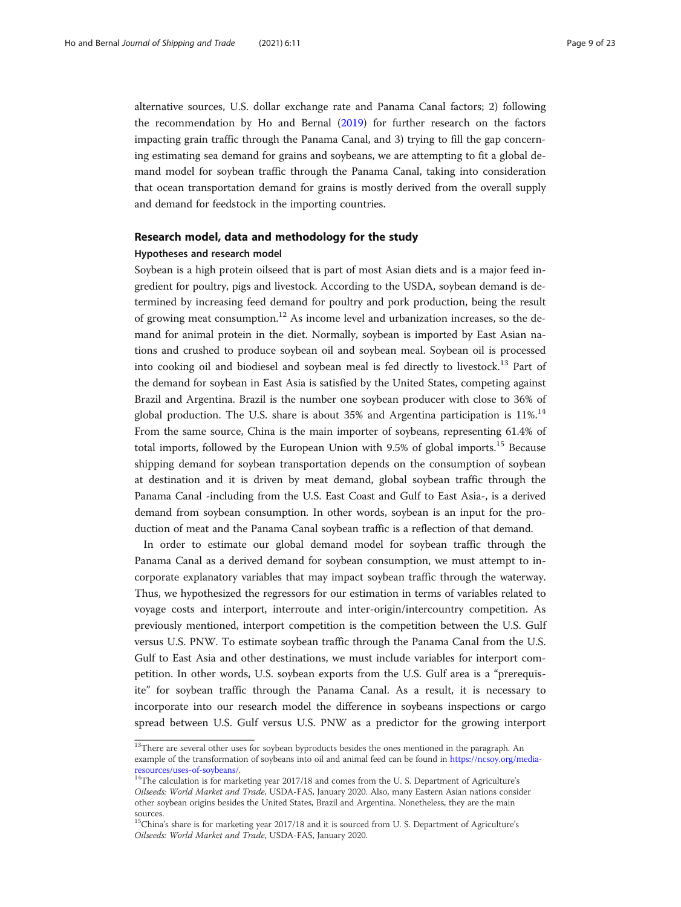alternative sources, U.S. dollar exchange rate and Panama Canal factors; 2) following the recommendation by Ho and Bernal [\(2019\)](#page-21-0) for further research on the factors impacting grain traffic through the Panama Canal, and 3) trying to fill the gap concerning estimating sea demand for grains and soybeans, we are attempting to fit a global demand model for soybean traffic through the Panama Canal, taking into consideration that ocean transportation demand for grains is mostly derived from the overall supply and demand for feedstock in the importing countries.

# Research model, data and methodology for the study Hypotheses and research model

Soybean is a high protein oilseed that is part of most Asian diets and is a major feed ingredient for poultry, pigs and livestock. According to the USDA, soybean demand is determined by increasing feed demand for poultry and pork production, being the result of growing meat consumption.<sup>12</sup> As income level and urbanization increases, so the demand for animal protein in the diet. Normally, soybean is imported by East Asian nations and crushed to produce soybean oil and soybean meal. Soybean oil is processed into cooking oil and biodiesel and soybean meal is fed directly to livestock.<sup>13</sup> Part of the demand for soybean in East Asia is satisfied by the United States, competing against Brazil and Argentina. Brazil is the number one soybean producer with close to 36% of global production. The U.S. share is about  $35\%$  and Argentina participation is  $11\%$ .<sup>14</sup> From the same source, China is the main importer of soybeans, representing 61.4% of total imports, followed by the European Union with 9.5% of global imports.<sup>15</sup> Because shipping demand for soybean transportation depends on the consumption of soybean at destination and it is driven by meat demand, global soybean traffic through the Panama Canal -including from the U.S. East Coast and Gulf to East Asia-, is a derived demand from soybean consumption. In other words, soybean is an input for the production of meat and the Panama Canal soybean traffic is a reflection of that demand.

In order to estimate our global demand model for soybean traffic through the Panama Canal as a derived demand for soybean consumption, we must attempt to incorporate explanatory variables that may impact soybean traffic through the waterway. Thus, we hypothesized the regressors for our estimation in terms of variables related to voyage costs and interport, interroute and inter-origin/intercountry competition. As previously mentioned, interport competition is the competition between the U.S. Gulf versus U.S. PNW. To estimate soybean traffic through the Panama Canal from the U.S. Gulf to East Asia and other destinations, we must include variables for interport competition. In other words, U.S. soybean exports from the U.S. Gulf area is a "prerequisite" for soybean traffic through the Panama Canal. As a result, it is necessary to incorporate into our research model the difference in soybeans inspections or cargo spread between U.S. Gulf versus U.S. PNW as a predictor for the growing interport

<sup>&</sup>lt;sup>13</sup>There are several other uses for soybean byproducts besides the ones mentioned in the paragraph. An example of the transformation of soybeans into oil and animal feed can be found in [https://ncsoy.org/media](https://ncsoy.org/media-resources/uses-of-soybeans/)[resources/uses-of-soybeans/.](https://ncsoy.org/media-resources/uses-of-soybeans/)<br><sup>14</sup>The calculation is for marketing year 2017/18 and comes from the U. S. Department of Agriculture's

Oilseeds: World Market and Trade, USDA-FAS, January 2020. Also, many Eastern Asian nations consider other soybean origins besides the United States, Brazil and Argentina. Nonetheless, they are the main sources.

<sup>&</sup>lt;sup>15</sup>China's share is for marketing year 2017/18 and it is sourced from U. S. Department of Agriculture's Oilseeds: World Market and Trade, USDA-FAS, January 2020.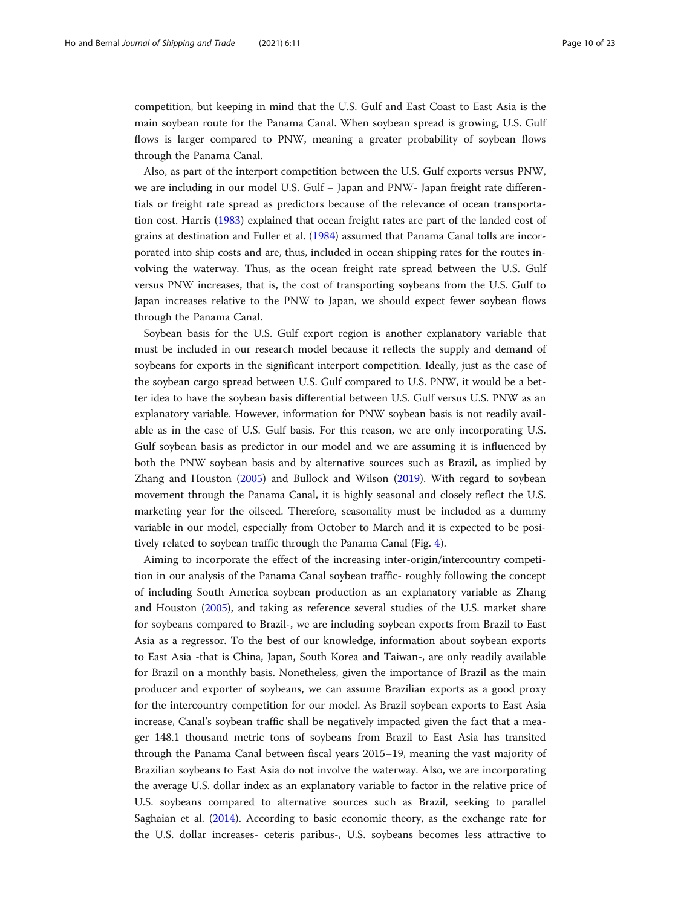competition, but keeping in mind that the U.S. Gulf and East Coast to East Asia is the main soybean route for the Panama Canal. When soybean spread is growing, U.S. Gulf flows is larger compared to PNW, meaning a greater probability of soybean flows through the Panama Canal.

Also, as part of the interport competition between the U.S. Gulf exports versus PNW, we are including in our model U.S. Gulf – Japan and PNW- Japan freight rate differentials or freight rate spread as predictors because of the relevance of ocean transportation cost. Harris ([1983](#page-21-0)) explained that ocean freight rates are part of the landed cost of grains at destination and Fuller et al. [\(1984](#page-21-0)) assumed that Panama Canal tolls are incorporated into ship costs and are, thus, included in ocean shipping rates for the routes involving the waterway. Thus, as the ocean freight rate spread between the U.S. Gulf versus PNW increases, that is, the cost of transporting soybeans from the U.S. Gulf to Japan increases relative to the PNW to Japan, we should expect fewer soybean flows through the Panama Canal.

Soybean basis for the U.S. Gulf export region is another explanatory variable that must be included in our research model because it reflects the supply and demand of soybeans for exports in the significant interport competition. Ideally, just as the case of the soybean cargo spread between U.S. Gulf compared to U.S. PNW, it would be a better idea to have the soybean basis differential between U.S. Gulf versus U.S. PNW as an explanatory variable. However, information for PNW soybean basis is not readily available as in the case of U.S. Gulf basis. For this reason, we are only incorporating U.S. Gulf soybean basis as predictor in our model and we are assuming it is influenced by both the PNW soybean basis and by alternative sources such as Brazil, as implied by Zhang and Houston [\(2005\)](#page-22-0) and Bullock and Wilson ([2019](#page-21-0)). With regard to soybean movement through the Panama Canal, it is highly seasonal and closely reflect the U.S. marketing year for the oilseed. Therefore, seasonality must be included as a dummy variable in our model, especially from October to March and it is expected to be positively related to soybean traffic through the Panama Canal (Fig. [4](#page-10-0)).

Aiming to incorporate the effect of the increasing inter-origin/intercountry competition in our analysis of the Panama Canal soybean traffic- roughly following the concept of including South America soybean production as an explanatory variable as Zhang and Houston [\(2005\)](#page-22-0), and taking as reference several studies of the U.S. market share for soybeans compared to Brazil-, we are including soybean exports from Brazil to East Asia as a regressor. To the best of our knowledge, information about soybean exports to East Asia -that is China, Japan, South Korea and Taiwan-, are only readily available for Brazil on a monthly basis. Nonetheless, given the importance of Brazil as the main producer and exporter of soybeans, we can assume Brazilian exports as a good proxy for the intercountry competition for our model. As Brazil soybean exports to East Asia increase, Canal's soybean traffic shall be negatively impacted given the fact that a meager 148.1 thousand metric tons of soybeans from Brazil to East Asia has transited through the Panama Canal between fiscal years 2015–19, meaning the vast majority of Brazilian soybeans to East Asia do not involve the waterway. Also, we are incorporating the average U.S. dollar index as an explanatory variable to factor in the relative price of U.S. soybeans compared to alternative sources such as Brazil, seeking to parallel Saghaian et al. [\(2014\)](#page-21-0). According to basic economic theory, as the exchange rate for the U.S. dollar increases- ceteris paribus-, U.S. soybeans becomes less attractive to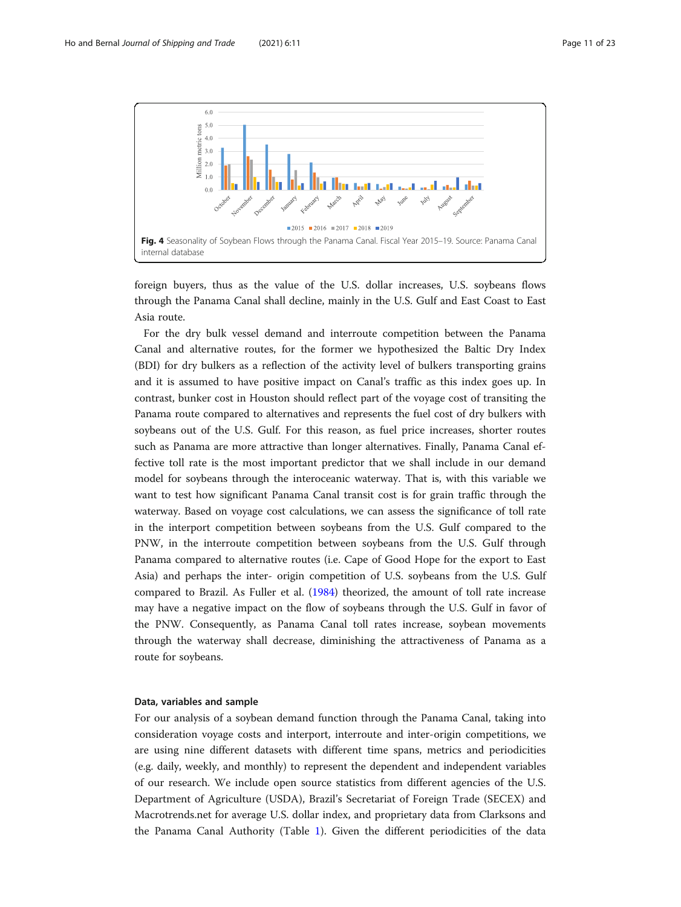<span id="page-10-0"></span>

foreign buyers, thus as the value of the U.S. dollar increases, U.S. soybeans flows through the Panama Canal shall decline, mainly in the U.S. Gulf and East Coast to East Asia route.

For the dry bulk vessel demand and interroute competition between the Panama Canal and alternative routes, for the former we hypothesized the Baltic Dry Index (BDI) for dry bulkers as a reflection of the activity level of bulkers transporting grains and it is assumed to have positive impact on Canal's traffic as this index goes up. In contrast, bunker cost in Houston should reflect part of the voyage cost of transiting the Panama route compared to alternatives and represents the fuel cost of dry bulkers with soybeans out of the U.S. Gulf. For this reason, as fuel price increases, shorter routes such as Panama are more attractive than longer alternatives. Finally, Panama Canal effective toll rate is the most important predictor that we shall include in our demand model for soybeans through the interoceanic waterway. That is, with this variable we want to test how significant Panama Canal transit cost is for grain traffic through the waterway. Based on voyage cost calculations, we can assess the significance of toll rate in the interport competition between soybeans from the U.S. Gulf compared to the PNW, in the interroute competition between soybeans from the U.S. Gulf through Panama compared to alternative routes (i.e. Cape of Good Hope for the export to East Asia) and perhaps the inter- origin competition of U.S. soybeans from the U.S. Gulf compared to Brazil. As Fuller et al. [\(1984\)](#page-21-0) theorized, the amount of toll rate increase may have a negative impact on the flow of soybeans through the U.S. Gulf in favor of the PNW. Consequently, as Panama Canal toll rates increase, soybean movements through the waterway shall decrease, diminishing the attractiveness of Panama as a route for soybeans.

## Data, variables and sample

For our analysis of a soybean demand function through the Panama Canal, taking into consideration voyage costs and interport, interroute and inter-origin competitions, we are using nine different datasets with different time spans, metrics and periodicities (e.g. daily, weekly, and monthly) to represent the dependent and independent variables of our research. We include open source statistics from different agencies of the U.S. Department of Agriculture (USDA), Brazil's Secretariat of Foreign Trade (SECEX) and Macrotrends.net for average U.S. dollar index, and proprietary data from Clarksons and the Panama Canal Authority (Table [1](#page-11-0)). Given the different periodicities of the data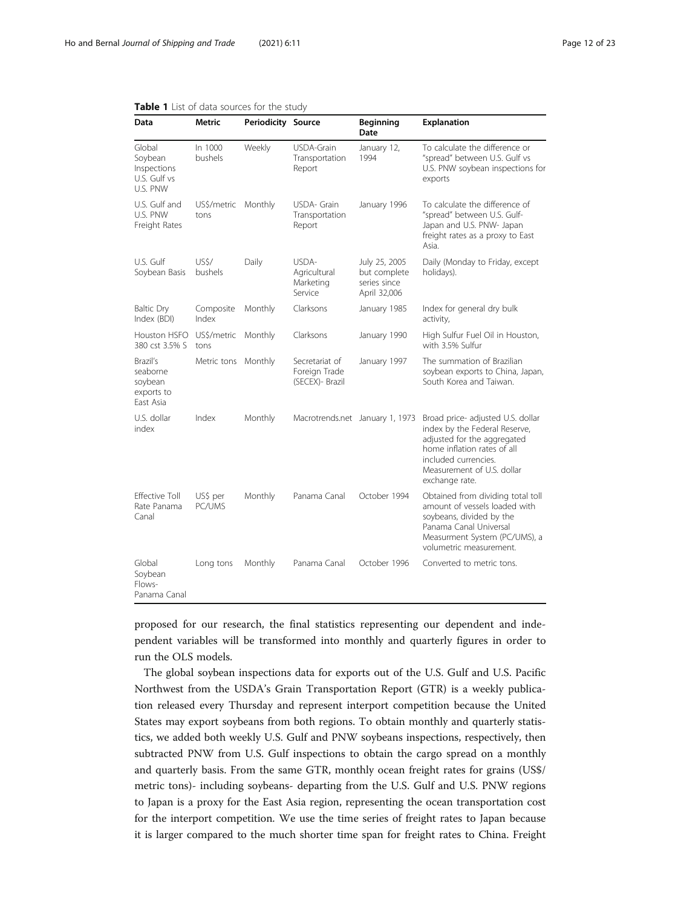| Data                                                         | Metric              | <b>Periodicity Source</b> |                                                    | <b>Beginning</b><br>Date                                      | Explanation                                                                                                                                                                                              |
|--------------------------------------------------------------|---------------------|---------------------------|----------------------------------------------------|---------------------------------------------------------------|----------------------------------------------------------------------------------------------------------------------------------------------------------------------------------------------------------|
| Global<br>Soybean<br>Inspections<br>U.S. Gulf vs<br>U.S. PNW | In 1000<br>bushels  | Weekly                    | USDA-Grain<br>Transportation<br>Report             | January 12,<br>1994                                           | To calculate the difference or<br>"spread" between U.S. Gulf vs<br>U.S. PNW soybean inspections for<br>exports                                                                                           |
| U.S. Gulf and<br>U.S. PNW<br>Freight Rates                   | US\$/metric<br>tons | Monthly                   | USDA- Grain<br>Transportation<br>Report            | January 1996                                                  | To calculate the difference of<br>"spread" between U.S. Gulf-<br>Japan and U.S. PNW- Japan<br>freight rates as a proxy to East<br>Asia.                                                                  |
| U.S. Gulf<br>Soybean Basis                                   | US\$/<br>bushels    | Daily                     | USDA-<br>Agricultural<br>Marketing<br>Service      | July 25, 2005<br>but complete<br>series since<br>April 32,006 | Daily (Monday to Friday, except<br>holidays).                                                                                                                                                            |
| <b>Baltic Dry</b><br>Index (BDI)                             | Composite<br>Index  | Monthly                   | Clarksons                                          | January 1985                                                  | Index for general dry bulk<br>activity,                                                                                                                                                                  |
| Houston HSFO<br>380 cst 3.5% S                               | US\$/metric<br>tons | Monthly                   | Clarksons                                          | January 1990                                                  | High Sulfur Fuel Oil in Houston,<br>with 3.5% Sulfur                                                                                                                                                     |
| Brazil's<br>seaborne<br>soybean<br>exports to<br>Fast Asia   | Metric tons         | Monthly                   | Secretariat of<br>Foreign Trade<br>(SECEX)- Brazil | January 1997                                                  | The summation of Brazilian<br>soybean exports to China, Japan,<br>South Korea and Taiwan.                                                                                                                |
| U.S. dollar<br>index                                         | Index               | Monthly                   | Macrotrends.net January 1, 1973                    |                                                               | Broad price- adjusted U.S. dollar<br>index by the Federal Reserve,<br>adjusted for the aggregated<br>home inflation rates of all<br>included currencies.<br>Measurement of U.S. dollar<br>exchange rate. |
| <b>Fffective Toll</b><br>Rate Panama<br>Canal                | US\$ per<br>PC/UMS  | Monthly                   | Panama Canal                                       | October 1994                                                  | Obtained from dividing total toll<br>amount of vessels loaded with<br>soybeans, divided by the<br>Panama Canal Universal<br>Measurment System (PC/UMS), a<br>volumetric measurement.                     |
| Global<br>Soybean<br>Flows-<br>Panama Canal                  | Long tons           | Monthly                   | Panama Canal                                       | October 1996                                                  | Converted to metric tons.                                                                                                                                                                                |

<span id="page-11-0"></span>

proposed for our research, the final statistics representing our dependent and independent variables will be transformed into monthly and quarterly figures in order to run the OLS models.

The global soybean inspections data for exports out of the U.S. Gulf and U.S. Pacific Northwest from the USDA's Grain Transportation Report (GTR) is a weekly publication released every Thursday and represent interport competition because the United States may export soybeans from both regions. To obtain monthly and quarterly statistics, we added both weekly U.S. Gulf and PNW soybeans inspections, respectively, then subtracted PNW from U.S. Gulf inspections to obtain the cargo spread on a monthly and quarterly basis. From the same GTR, monthly ocean freight rates for grains (US\$/ metric tons)- including soybeans- departing from the U.S. Gulf and U.S. PNW regions to Japan is a proxy for the East Asia region, representing the ocean transportation cost for the interport competition. We use the time series of freight rates to Japan because it is larger compared to the much shorter time span for freight rates to China. Freight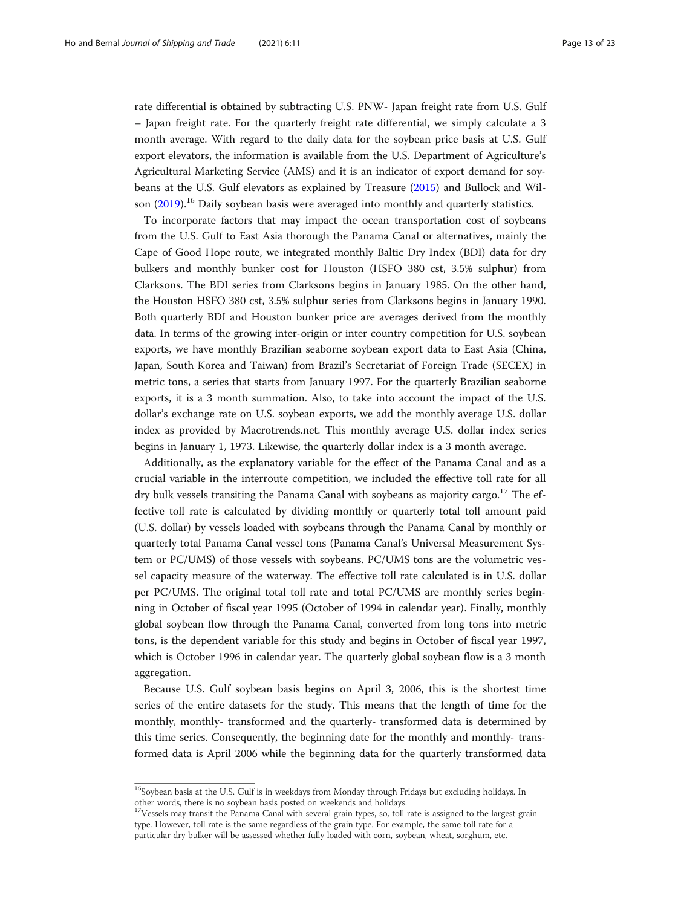rate differential is obtained by subtracting U.S. PNW- Japan freight rate from U.S. Gulf – Japan freight rate. For the quarterly freight rate differential, we simply calculate a 3 month average. With regard to the daily data for the soybean price basis at U.S. Gulf export elevators, the information is available from the U.S. Department of Agriculture's Agricultural Marketing Service (AMS) and it is an indicator of export demand for soybeans at the U.S. Gulf elevators as explained by Treasure ([2015](#page-22-0)) and Bullock and Wilson  $(2019)$ <sup>16</sup> Daily soybean basis were averaged into monthly and quarterly statistics.

To incorporate factors that may impact the ocean transportation cost of soybeans from the U.S. Gulf to East Asia thorough the Panama Canal or alternatives, mainly the Cape of Good Hope route, we integrated monthly Baltic Dry Index (BDI) data for dry bulkers and monthly bunker cost for Houston (HSFO 380 cst, 3.5% sulphur) from Clarksons. The BDI series from Clarksons begins in January 1985. On the other hand, the Houston HSFO 380 cst, 3.5% sulphur series from Clarksons begins in January 1990. Both quarterly BDI and Houston bunker price are averages derived from the monthly data. In terms of the growing inter-origin or inter country competition for U.S. soybean exports, we have monthly Brazilian seaborne soybean export data to East Asia (China, Japan, South Korea and Taiwan) from Brazil's Secretariat of Foreign Trade (SECEX) in metric tons, a series that starts from January 1997. For the quarterly Brazilian seaborne exports, it is a 3 month summation. Also, to take into account the impact of the U.S. dollar's exchange rate on U.S. soybean exports, we add the monthly average U.S. dollar index as provided by Macrotrends.net. This monthly average U.S. dollar index series begins in January 1, 1973. Likewise, the quarterly dollar index is a 3 month average.

Additionally, as the explanatory variable for the effect of the Panama Canal and as a crucial variable in the interroute competition, we included the effective toll rate for all dry bulk vessels transiting the Panama Canal with soybeans as majority cargo.<sup>17</sup> The effective toll rate is calculated by dividing monthly or quarterly total toll amount paid (U.S. dollar) by vessels loaded with soybeans through the Panama Canal by monthly or quarterly total Panama Canal vessel tons (Panama Canal's Universal Measurement System or PC/UMS) of those vessels with soybeans. PC/UMS tons are the volumetric vessel capacity measure of the waterway. The effective toll rate calculated is in U.S. dollar per PC/UMS. The original total toll rate and total PC/UMS are monthly series beginning in October of fiscal year 1995 (October of 1994 in calendar year). Finally, monthly global soybean flow through the Panama Canal, converted from long tons into metric tons, is the dependent variable for this study and begins in October of fiscal year 1997, which is October 1996 in calendar year. The quarterly global soybean flow is a 3 month aggregation.

Because U.S. Gulf soybean basis begins on April 3, 2006, this is the shortest time series of the entire datasets for the study. This means that the length of time for the monthly, monthly- transformed and the quarterly- transformed data is determined by this time series. Consequently, the beginning date for the monthly and monthly- transformed data is April 2006 while the beginning data for the quarterly transformed data

<sup>&</sup>lt;sup>16</sup>Soybean basis at the U.S. Gulf is in weekdays from Monday through Fridays but excluding holidays. In other words, there is no soybean basis posted on weekends and holidays.

 $17$ Vessels may transit the Panama Canal with several grain types, so, toll rate is assigned to the largest grain type. However, toll rate is the same regardless of the grain type. For example, the same toll rate for a particular dry bulker will be assessed whether fully loaded with corn, soybean, wheat, sorghum, etc.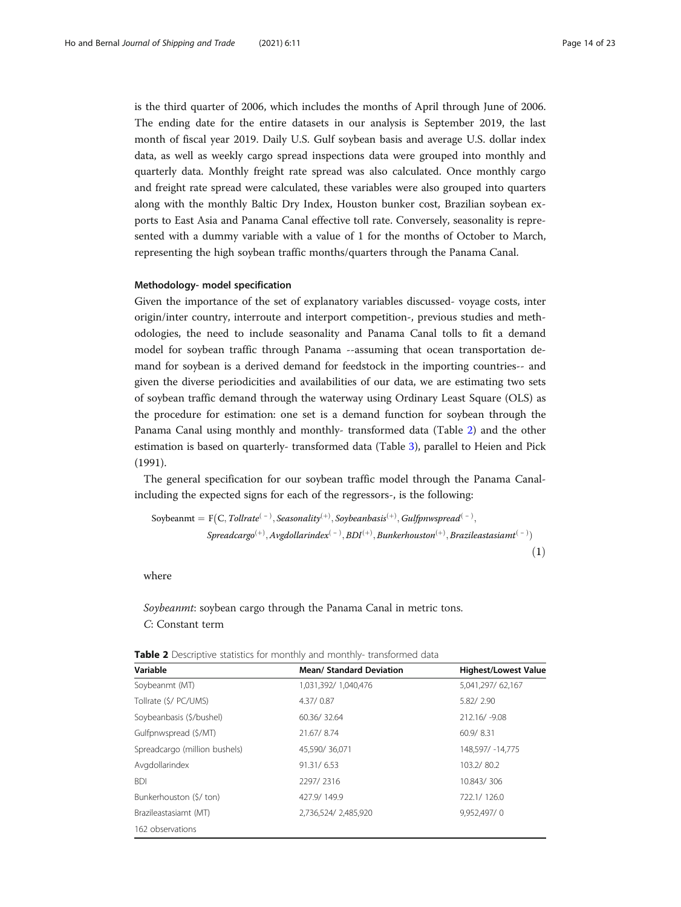<span id="page-13-0"></span>is the third quarter of 2006, which includes the months of April through June of 2006. The ending date for the entire datasets in our analysis is September 2019, the last month of fiscal year 2019. Daily U.S. Gulf soybean basis and average U.S. dollar index data, as well as weekly cargo spread inspections data were grouped into monthly and quarterly data. Monthly freight rate spread was also calculated. Once monthly cargo and freight rate spread were calculated, these variables were also grouped into quarters along with the monthly Baltic Dry Index, Houston bunker cost, Brazilian soybean exports to East Asia and Panama Canal effective toll rate. Conversely, seasonality is represented with a dummy variable with a value of 1 for the months of October to March, representing the high soybean traffic months/quarters through the Panama Canal.

#### Methodology- model specification

Given the importance of the set of explanatory variables discussed- voyage costs, inter origin/inter country, interroute and interport competition-, previous studies and methodologies, the need to include seasonality and Panama Canal tolls to fit a demand model for soybean traffic through Panama --assuming that ocean transportation demand for soybean is a derived demand for feedstock in the importing countries-- and given the diverse periodicities and availabilities of our data, we are estimating two sets of soybean traffic demand through the waterway using Ordinary Least Square (OLS) as the procedure for estimation: one set is a demand function for soybean through the Panama Canal using monthly and monthly- transformed data (Table 2) and the other estimation is based on quarterly- transformed data (Table [3\)](#page-14-0), parallel to Heien and Pick (1991).

The general specification for our soybean traffic model through the Panama Canalincluding the expected signs for each of the regressors-, is the following:

Soybeanmt ¼ F C; Tollrateð Þ <sup>−</sup> ; Seasonalityð Þ <sup>þ</sup> ; Soybeanbasisð Þ <sup>þ</sup> ; Gulfpnwspreadð Þ <sup>−</sup> ; Spreadcargoð Þ <sup>þ</sup> ;Avgdollarindexð Þ <sup>−</sup> ; BDIð Þ <sup>þ</sup> ; Bunkerhoustonð Þ <sup>þ</sup> ; Brazileastasiamtð Þ <sup>−</sup> <sup>Þ</sup> ð1Þ

where

Soybeanmt: soybean cargo through the Panama Canal in metric tons. C: Constant term

| Variable                      | <b>Mean/ Standard Deviation</b> | <b>Highest/Lowest Value</b> |
|-------------------------------|---------------------------------|-----------------------------|
| Soybeanmt (MT)                | 1,031,392/ 1,040,476            | 5,041,297/62,167            |
| Tollrate (\$/ PC/UMS)         | 4.37/0.87                       | 5.82/2.90                   |
| Soybeanbasis (\$/bushel)      | 60.36/32.64                     | 212.16/-9.08                |
| Gulfpnwspread (\$/MT)         | 21.67/8.74                      | 60.9/8.31                   |
| Spreadcargo (million bushels) | 45,590/36,071                   | 148,597/ -14,775            |
| Avgdollarindex                | 91.31/6.53                      | 103.2/80.2                  |
| <b>BDI</b>                    | 2297/2316                       | 10.843/306                  |
| Bunkerhouston (\$/ ton)       | 427.9/149.9                     | 722.1/126.0                 |
| Brazileastasiamt (MT)         | 2,736,524/2,485,920             | 9,952,497/0                 |
| 162 observations              |                                 |                             |

| <b>Table 2</b> Descriptive statistics for monthly and monthly-transformed data |  |  |  |
|--------------------------------------------------------------------------------|--|--|--|
|--------------------------------------------------------------------------------|--|--|--|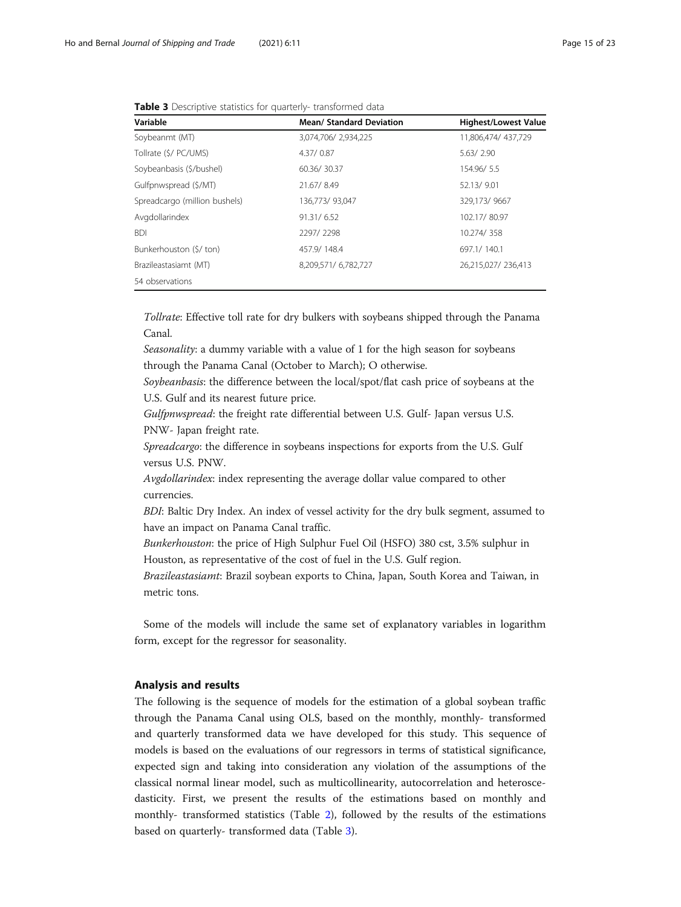<span id="page-14-0"></span>

|  |  |  |  |  |  |  | <b>Table 3</b> Descriptive statistics for quarterly-transformed data |  |
|--|--|--|--|--|--|--|----------------------------------------------------------------------|--|
|--|--|--|--|--|--|--|----------------------------------------------------------------------|--|

| Variable                      | <b>Mean/ Standard Deviation</b> | <b>Highest/Lowest Value</b> |
|-------------------------------|---------------------------------|-----------------------------|
| Soybeanmt (MT)                | 3,074,706/2,934,225             | 11,806,474/437,729          |
| Tollrate (\$/ PC/UMS)         | 4.37/0.87                       | 5.63/2.90                   |
| Soybeanbasis (\$/bushel)      | 60.36/30.37                     | 154.96/5.5                  |
| Gulfpnwspread (\$/MT)         | 21.67/8.49                      | 52.13/9.01                  |
| Spreadcargo (million bushels) | 136,773/93,047                  | 329,173/9667                |
| Avgdollarindex                | 91.31/6.52                      | 102.17/80.97                |
| <b>BDI</b>                    | 2297/2298                       | 10.274/358                  |
| Bunkerhouston (\$/ ton)       | 457.9/148.4                     | 697.1/140.1                 |
| Brazileastasiamt (MT)         | 8,209,571/6,782,727             | 26,215,027/236,413          |
| 54 observations               |                                 |                             |

Tollrate: Effective toll rate for dry bulkers with soybeans shipped through the Panama Canal.

Seasonality: a dummy variable with a value of 1 for the high season for soybeans through the Panama Canal (October to March); O otherwise.

Soybeanbasis: the difference between the local/spot/flat cash price of soybeans at the U.S. Gulf and its nearest future price.

Gulfpnwspread: the freight rate differential between U.S. Gulf- Japan versus U.S. PNW- Japan freight rate.

Spreadcargo: the difference in soybeans inspections for exports from the U.S. Gulf versus U.S. PNW.

Avgdollarindex: index representing the average dollar value compared to other currencies.

BDI: Baltic Dry Index. An index of vessel activity for the dry bulk segment, assumed to have an impact on Panama Canal traffic.

Bunkerhouston: the price of High Sulphur Fuel Oil (HSFO) 380 cst, 3.5% sulphur in Houston, as representative of the cost of fuel in the U.S. Gulf region.

Brazileastasiamt: Brazil soybean exports to China, Japan, South Korea and Taiwan, in metric tons.

Some of the models will include the same set of explanatory variables in logarithm form, except for the regressor for seasonality.

## Analysis and results

The following is the sequence of models for the estimation of a global soybean traffic through the Panama Canal using OLS, based on the monthly, monthly- transformed and quarterly transformed data we have developed for this study. This sequence of models is based on the evaluations of our regressors in terms of statistical significance, expected sign and taking into consideration any violation of the assumptions of the classical normal linear model, such as multicollinearity, autocorrelation and heteroscedasticity. First, we present the results of the estimations based on monthly and monthly- transformed statistics (Table [2](#page-13-0)), followed by the results of the estimations based on quarterly- transformed data (Table 3).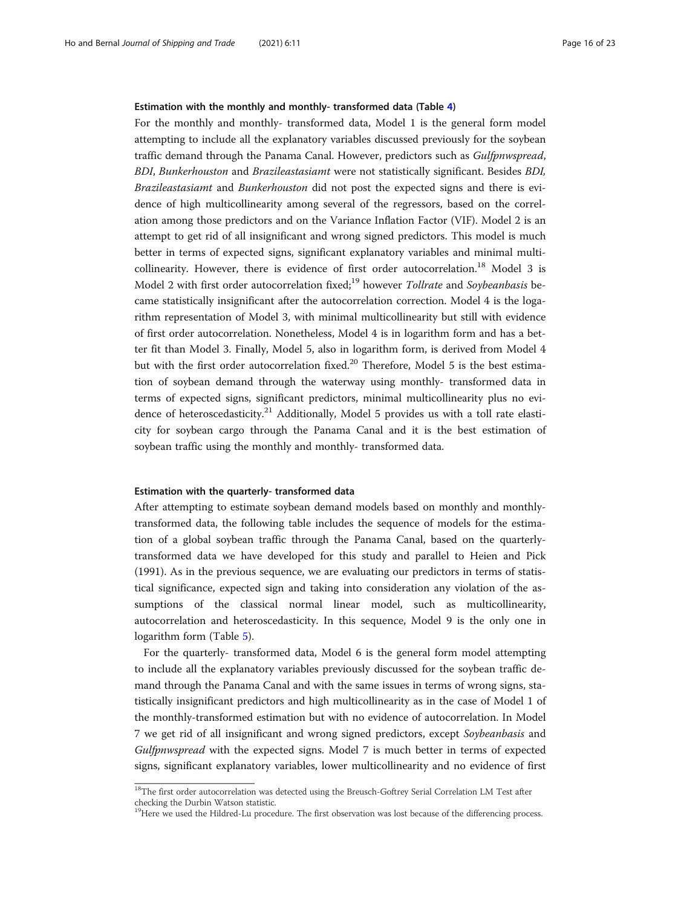#### Estimation with the monthly and monthly- transformed data (Table [4](#page-16-0))

For the monthly and monthly- transformed data, Model 1 is the general form model attempting to include all the explanatory variables discussed previously for the soybean traffic demand through the Panama Canal. However, predictors such as Gulfpnwspread, BDI, Bunkerhouston and Brazileastasiamt were not statistically significant. Besides BDI, Brazileastasiamt and Bunkerhouston did not post the expected signs and there is evidence of high multicollinearity among several of the regressors, based on the correlation among those predictors and on the Variance Inflation Factor (VIF). Model 2 is an attempt to get rid of all insignificant and wrong signed predictors. This model is much better in terms of expected signs, significant explanatory variables and minimal multicollinearity. However, there is evidence of first order autocorrelation.<sup>18</sup> Model 3 is Model 2 with first order autocorrelation fixed;<sup>19</sup> however Tollrate and Soybeanbasis became statistically insignificant after the autocorrelation correction. Model 4 is the logarithm representation of Model 3, with minimal multicollinearity but still with evidence of first order autocorrelation. Nonetheless, Model 4 is in logarithm form and has a better fit than Model 3. Finally, Model 5, also in logarithm form, is derived from Model 4 but with the first order autocorrelation fixed.<sup>20</sup> Therefore, Model 5 is the best estimation of soybean demand through the waterway using monthly- transformed data in terms of expected signs, significant predictors, minimal multicollinearity plus no evidence of heteroscedasticity.<sup>21</sup> Additionally, Model 5 provides us with a toll rate elasticity for soybean cargo through the Panama Canal and it is the best estimation of soybean traffic using the monthly and monthly- transformed data.

#### Estimation with the quarterly- transformed data

After attempting to estimate soybean demand models based on monthly and monthlytransformed data, the following table includes the sequence of models for the estimation of a global soybean traffic through the Panama Canal, based on the quarterlytransformed data we have developed for this study and parallel to Heien and Pick (1991). As in the previous sequence, we are evaluating our predictors in terms of statistical significance, expected sign and taking into consideration any violation of the assumptions of the classical normal linear model, such as multicollinearity, autocorrelation and heteroscedasticity. In this sequence, Model 9 is the only one in logarithm form (Table [5](#page-17-0)).

For the quarterly- transformed data, Model 6 is the general form model attempting to include all the explanatory variables previously discussed for the soybean traffic demand through the Panama Canal and with the same issues in terms of wrong signs, statistically insignificant predictors and high multicollinearity as in the case of Model 1 of the monthly-transformed estimation but with no evidence of autocorrelation. In Model 7 we get rid of all insignificant and wrong signed predictors, except Soybeanbasis and Gulfpnwspread with the expected signs. Model 7 is much better in terms of expected signs, significant explanatory variables, lower multicollinearity and no evidence of first

 $18$ The first order autocorrelation was detected using the Breusch-Goftrey Serial Correlation LM Test after checking the Durbin Watson statistic.

<sup>&</sup>lt;sup>19</sup>Here we used the Hildred-Lu procedure. The first observation was lost because of the differencing process.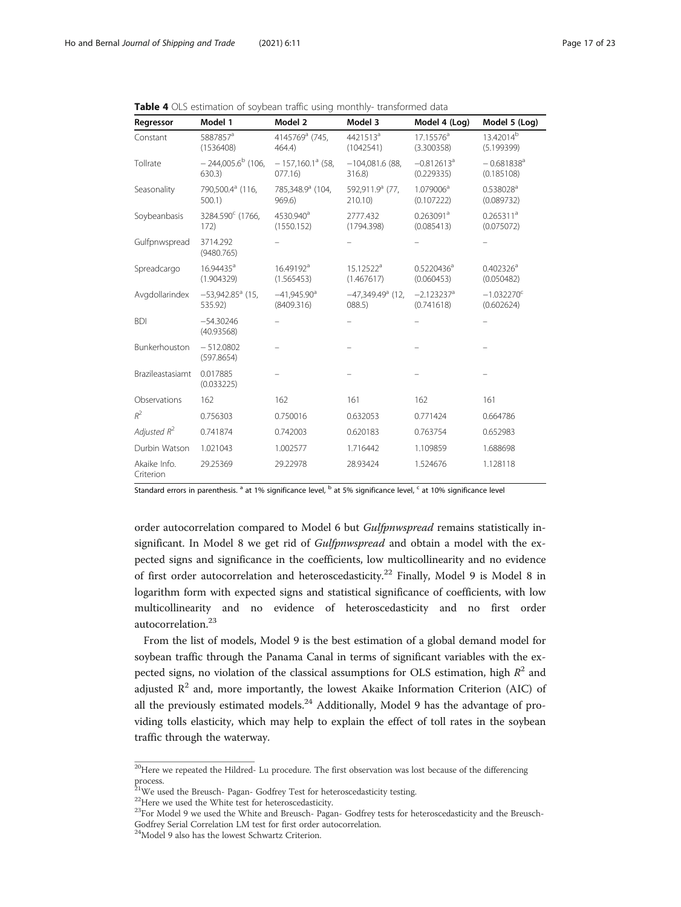| Regressor                 | Model 1                                   | Model 2                                 | Model 3                           | Model 4 (Log)                          | Model 5 (Log)                          |
|---------------------------|-------------------------------------------|-----------------------------------------|-----------------------------------|----------------------------------------|----------------------------------------|
| Constant                  | 5887857 <sup>a</sup><br>(1536408)         | 4145769ª (745,<br>464.4)                | 4421513 <sup>a</sup><br>(1042541) | $17.15576^{\text{a}}$<br>(3.300358)    | 13.42014 <sup>b</sup><br>(5.199399)    |
| Tollrate                  | $-244,005.6^{\mathrm{b}}$ (106,<br>630.3) | $-157,160.1^{\circ}$ (58,<br>077.16     | $-104.081.6$ (88.<br>316.8)       | $-0.812613$ <sup>a</sup><br>(0.229335) | $-0.681838$ <sup>a</sup><br>(0.185108) |
| Seasonality               | 790,500.4 <sup>a</sup> (116,<br>$500.1$ ) | 785,348.9ª (104,<br>969.6)              | 592,911.9ª (77,<br>210.10)        | 1.079006 <sup>a</sup><br>(0.107222)    | $0.538028$ <sup>a</sup><br>(0.089732)  |
| Soybeanbasis              | 3284.590° (1766,<br>172)                  | 4530.940 <sup>a</sup><br>(1550.152)     | 2777.432<br>(1794.398)            | $0.263091^a$<br>(0.085413)             | $0.265311^a$<br>(0.075072)             |
| Gulfpnwspread             | 3714.292<br>(9480.765)                    |                                         |                                   |                                        |                                        |
| Spreadcargo               | 16.94435 <sup>a</sup><br>(1.904329)       | 16.49192 <sup>a</sup><br>(1.565453)     | $15.12522^a$<br>(1.467617)        | 0.5220436 <sup>a</sup><br>(0.060453)   | $0.402326^{\text{a}}$<br>(0.050482)    |
| Avgdollarindex            | $-53,942.85$ <sup>a</sup> (15,<br>535.92) | $-41,945.90$ <sup>a</sup><br>(8409.316) | $-47.349.49a$ (12.<br>088.5)      | $-2.123237$ <sup>a</sup><br>(0.741618) | $-1.032270^{\circ}$<br>(0.602624)      |
| <b>BDI</b>                | $-54.30246$<br>(40.93568)                 |                                         |                                   |                                        |                                        |
| Bunkerhouston             | $-512.0802$<br>(597.8654)                 |                                         |                                   |                                        |                                        |
| Brazileastasiamt          | 0.017885<br>(0.033225)                    |                                         |                                   |                                        |                                        |
| Observations              | 162                                       | 162                                     | 161                               | 162                                    | 161                                    |
| $R^2$                     | 0.756303                                  | 0.750016                                | 0.632053                          | 0.771424                               | 0.664786                               |
| Adjusted $R^2$            | 0.741874                                  | 0.742003                                | 0.620183                          | 0.763754                               | 0.652983                               |
| Durbin Watson             | 1.021043                                  | 1.002577                                | 1.716442                          | 1.109859                               | 1.688698                               |
| Akaike Info.<br>Criterion | 29.25369                                  | 29.22978                                | 28.93424                          | 1.524676                               | 1.128118                               |

<span id="page-16-0"></span>

|  |  |  |  |  |  |  | <b>Table 4</b> OLS estimation of sovbean traffic using monthly- transformed data |  |
|--|--|--|--|--|--|--|----------------------------------------------------------------------------------|--|
|--|--|--|--|--|--|--|----------------------------------------------------------------------------------|--|

Standard errors in parenthesis. <sup>a</sup> at 1% significance level, <sup>b</sup> at 5% significance level, <sup>c</sup> at 10% significance level

order autocorrelation compared to Model 6 but Gulfpnwspread remains statistically insignificant. In Model 8 we get rid of *Gulfpnwspread* and obtain a model with the expected signs and significance in the coefficients, low multicollinearity and no evidence of first order autocorrelation and heteroscedasticity.<sup>22</sup> Finally, Model 9 is Model 8 in logarithm form with expected signs and statistical significance of coefficients, with low multicollinearity and no evidence of heteroscedasticity and no first order autocorrelation.<sup>23</sup>

From the list of models, Model 9 is the best estimation of a global demand model for soybean traffic through the Panama Canal in terms of significant variables with the expected signs, no violation of the classical assumptions for OLS estimation, high  $R^2$  and adjusted  $R^2$  and, more importantly, the lowest Akaike Information Criterion (AIC) of all the previously estimated models. $^{24}$  Additionally, Model 9 has the advantage of providing tolls elasticity, which may help to explain the effect of toll rates in the soybean traffic through the waterway.

<sup>&</sup>lt;sup>20</sup>Here we repeated the Hildred- Lu procedure. The first observation was lost because of the differencing process. 21We used the Breusch- Pagan- Godfrey Test for heteroscedasticity testing.

<sup>&</sup>lt;sup>22</sup>Here we used the White test for heteroscedasticity.

<sup>&</sup>lt;sup>23</sup>For Model 9 we used the White and Breusch- Pagan- Godfrey tests for heteroscedasticity and the Breusch-Godfrey Serial Correlation LM test for first order autocorrelation.

<sup>&</sup>lt;sup>24</sup>Model 9 also has the lowest Schwartz Criterion.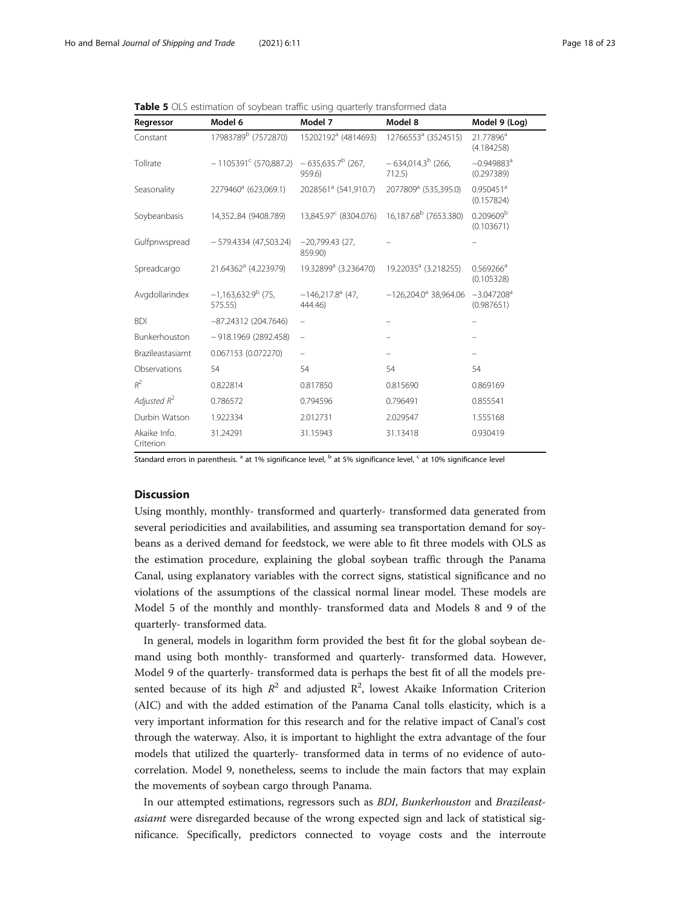<span id="page-17-0"></span>Table 5 OLS estimation of soybean traffic using quarterly transformed data

| Regressor                 | Model 6                            | Model 7                                   | Model 8                             | Model 9 (Log)                          |
|---------------------------|------------------------------------|-------------------------------------------|-------------------------------------|----------------------------------------|
| Constant                  | 17983789 <sup>b</sup> (7572870)    | 15202192 <sup>a</sup> (4814693)           | 12766553 <sup>a</sup> (3524515)     | 21.77896 <sup>a</sup><br>(4.184258)    |
| Tollrate                  | $-1105391^{\circ}$ (570,887.2)     | $-635,635.7^b$ (267,<br>959.6)            | $-634,014.3^{b}$ (266,<br>712.5     | $-0.949883$ <sup>a</sup><br>(0.297389) |
| Seasonality               | 2279460 <sup>a</sup> (623,069.1)   | 2028561 <sup>ª</sup> (541,910.7)          | 2077809 <sup>a</sup> (535,395.0)    | $0.950451$ <sup>a</sup><br>(0.157824)  |
| Soybeanbasis              | 14,35284 (9408.789)                | 13,845.97 <sup>c</sup> (8304.076)         | 16,187.68 <sup>b</sup> (7653.380)   | 0.209609 <sup>b</sup><br>(0.103671)    |
| Gulfpnwspread             | $-579.4334(47.503.24)$             | $-20,799.43(27)$<br>859.90)               |                                     |                                        |
| Spreadcargo               | 21.64362 <sup>a</sup> (4.223979)   | 19.32899 <sup>a</sup> (3.236470)          | 19.22035 <sup>a</sup> (3.218255)    | $0.569266^{\circ}$<br>(0.105328)       |
| Avgdollarindex            | $-1,163,632.9^{b}$ (75,<br>575.55) | $-146,217.8$ <sup>a</sup> (47,<br>444.46) | $-126.204.0$ <sup>a</sup> 38.964.06 | $-3.047208$ <sup>a</sup><br>(0.987651) |
| <b>BDI</b>                | $-87.24312(204.7646)$              | -                                         |                                     |                                        |
| Bunkerhouston             | $-918.1969(2892.458)$              | -                                         |                                     |                                        |
| Brazileastasiamt          | 0.067153 (0.072270)                |                                           |                                     |                                        |
| Observations              | 54                                 | 54                                        | 54                                  | 54                                     |
| $R^2$                     | 0.822814                           | 0.817850                                  | 0.815690                            | 0.869169                               |
| Adjusted $R^2$            | 0.786572                           | 0.794596                                  | 0.796491                            | 0.855541                               |
| Durbin Watson             | 1.922334                           | 2.012731                                  | 2.029547                            | 1.555168                               |
| Akaike Info.<br>Criterion | 31.24291                           | 31.15943                                  | 31.13418                            | 0.930419                               |

Standard errors in parenthesis.<sup>a</sup> at 1% significance level, <sup>b</sup> at 5% significance level, <sup>c</sup> at 10% significance level

# Discussion

Using monthly, monthly- transformed and quarterly- transformed data generated from several periodicities and availabilities, and assuming sea transportation demand for soybeans as a derived demand for feedstock, we were able to fit three models with OLS as the estimation procedure, explaining the global soybean traffic through the Panama Canal, using explanatory variables with the correct signs, statistical significance and no violations of the assumptions of the classical normal linear model. These models are Model 5 of the monthly and monthly- transformed data and Models 8 and 9 of the quarterly- transformed data.

In general, models in logarithm form provided the best fit for the global soybean demand using both monthly- transformed and quarterly- transformed data. However, Model 9 of the quarterly- transformed data is perhaps the best fit of all the models presented because of its high  $R^2$  and adjusted  $R^2$ , lowest Akaike Information Criterion (AIC) and with the added estimation of the Panama Canal tolls elasticity, which is a very important information for this research and for the relative impact of Canal's cost through the waterway. Also, it is important to highlight the extra advantage of the four models that utilized the quarterly- transformed data in terms of no evidence of autocorrelation. Model 9, nonetheless, seems to include the main factors that may explain the movements of soybean cargo through Panama.

In our attempted estimations, regressors such as BDI, Bunkerhouston and Brazileastasiamt were disregarded because of the wrong expected sign and lack of statistical significance. Specifically, predictors connected to voyage costs and the interroute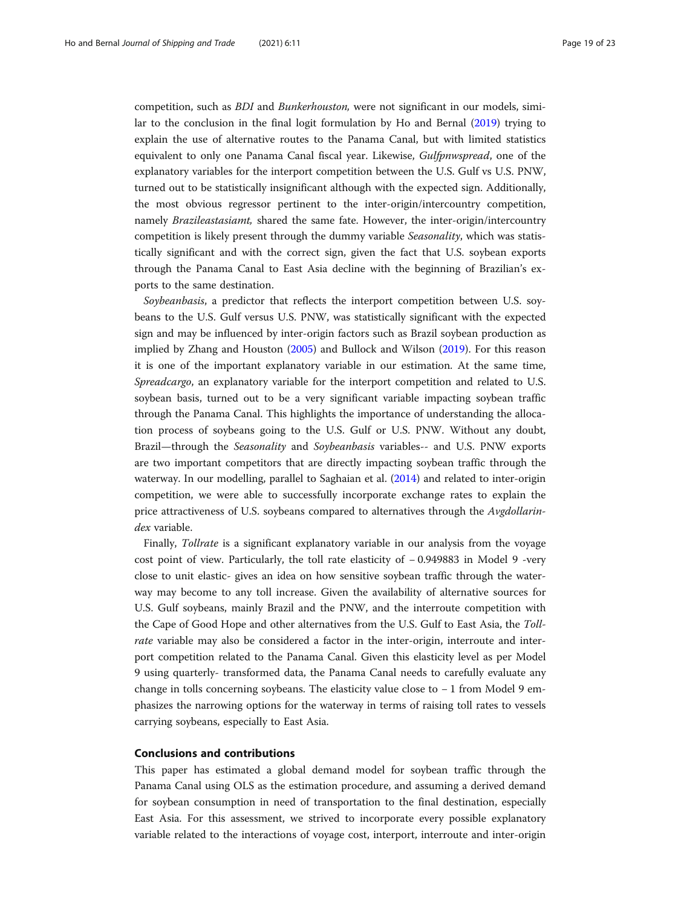competition, such as BDI and Bunkerhouston, were not significant in our models, similar to the conclusion in the final logit formulation by Ho and Bernal ([2019\)](#page-21-0) trying to explain the use of alternative routes to the Panama Canal, but with limited statistics equivalent to only one Panama Canal fiscal year. Likewise, Gulfpnwspread, one of the explanatory variables for the interport competition between the U.S. Gulf vs U.S. PNW, turned out to be statistically insignificant although with the expected sign. Additionally, the most obvious regressor pertinent to the inter-origin/intercountry competition, namely Brazileastasiamt, shared the same fate. However, the inter-origin/intercountry competition is likely present through the dummy variable Seasonality, which was statistically significant and with the correct sign, given the fact that U.S. soybean exports through the Panama Canal to East Asia decline with the beginning of Brazilian's exports to the same destination.

Soybeanbasis, a predictor that reflects the interport competition between U.S. soybeans to the U.S. Gulf versus U.S. PNW, was statistically significant with the expected sign and may be influenced by inter-origin factors such as Brazil soybean production as implied by Zhang and Houston [\(2005\)](#page-22-0) and Bullock and Wilson [\(2019\)](#page-21-0). For this reason it is one of the important explanatory variable in our estimation. At the same time, Spreadcargo, an explanatory variable for the interport competition and related to U.S. soybean basis, turned out to be a very significant variable impacting soybean traffic through the Panama Canal. This highlights the importance of understanding the allocation process of soybeans going to the U.S. Gulf or U.S. PNW. Without any doubt, Brazil—through the Seasonality and Soybeanbasis variables-- and U.S. PNW exports are two important competitors that are directly impacting soybean traffic through the waterway. In our modelling, parallel to Saghaian et al. ([2014](#page-21-0)) and related to inter-origin competition, we were able to successfully incorporate exchange rates to explain the price attractiveness of U.S. soybeans compared to alternatives through the Avgdollarindex variable.

Finally, Tollrate is a significant explanatory variable in our analysis from the voyage cost point of view. Particularly, the toll rate elasticity of − 0.949883 in Model 9 -very close to unit elastic- gives an idea on how sensitive soybean traffic through the waterway may become to any toll increase. Given the availability of alternative sources for U.S. Gulf soybeans, mainly Brazil and the PNW, and the interroute competition with the Cape of Good Hope and other alternatives from the U.S. Gulf to East Asia, the Tollrate variable may also be considered a factor in the inter-origin, interroute and interport competition related to the Panama Canal. Given this elasticity level as per Model 9 using quarterly- transformed data, the Panama Canal needs to carefully evaluate any change in tolls concerning soybeans. The elasticity value close to − 1 from Model 9 emphasizes the narrowing options for the waterway in terms of raising toll rates to vessels carrying soybeans, especially to East Asia.

# Conclusions and contributions

This paper has estimated a global demand model for soybean traffic through the Panama Canal using OLS as the estimation procedure, and assuming a derived demand for soybean consumption in need of transportation to the final destination, especially East Asia. For this assessment, we strived to incorporate every possible explanatory variable related to the interactions of voyage cost, interport, interroute and inter-origin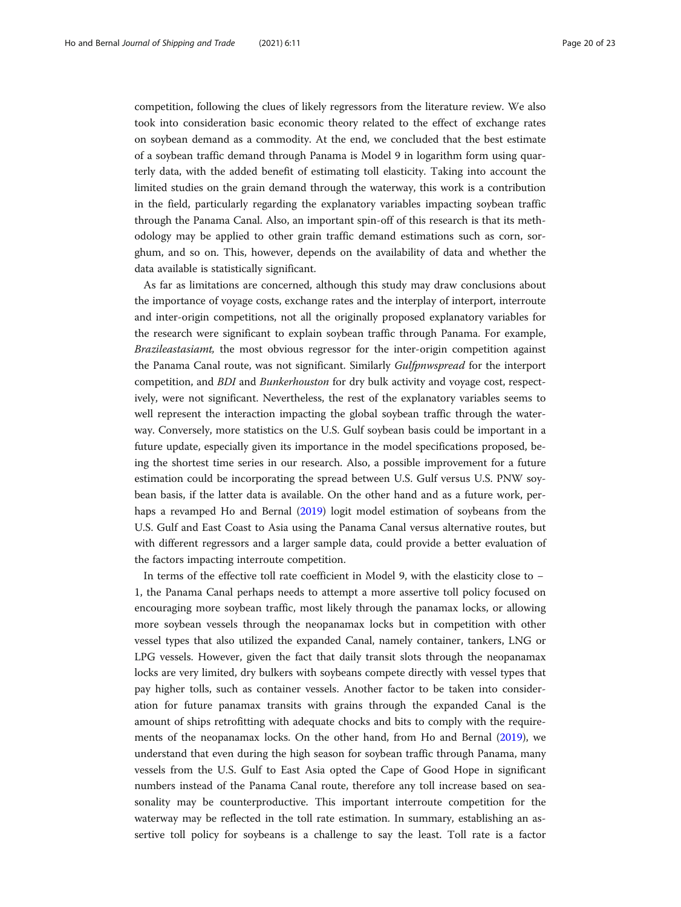competition, following the clues of likely regressors from the literature review. We also took into consideration basic economic theory related to the effect of exchange rates on soybean demand as a commodity. At the end, we concluded that the best estimate of a soybean traffic demand through Panama is Model 9 in logarithm form using quarterly data, with the added benefit of estimating toll elasticity. Taking into account the limited studies on the grain demand through the waterway, this work is a contribution in the field, particularly regarding the explanatory variables impacting soybean traffic through the Panama Canal. Also, an important spin-off of this research is that its methodology may be applied to other grain traffic demand estimations such as corn, sorghum, and so on. This, however, depends on the availability of data and whether the data available is statistically significant.

As far as limitations are concerned, although this study may draw conclusions about the importance of voyage costs, exchange rates and the interplay of interport, interroute and inter-origin competitions, not all the originally proposed explanatory variables for the research were significant to explain soybean traffic through Panama. For example, Brazileastasiamt, the most obvious regressor for the inter-origin competition against the Panama Canal route, was not significant. Similarly Gulfpnwspread for the interport competition, and BDI and Bunkerhouston for dry bulk activity and voyage cost, respectively, were not significant. Nevertheless, the rest of the explanatory variables seems to well represent the interaction impacting the global soybean traffic through the waterway. Conversely, more statistics on the U.S. Gulf soybean basis could be important in a future update, especially given its importance in the model specifications proposed, being the shortest time series in our research. Also, a possible improvement for a future estimation could be incorporating the spread between U.S. Gulf versus U.S. PNW soybean basis, if the latter data is available. On the other hand and as a future work, perhaps a revamped Ho and Bernal ([2019](#page-21-0)) logit model estimation of soybeans from the U.S. Gulf and East Coast to Asia using the Panama Canal versus alternative routes, but with different regressors and a larger sample data, could provide a better evaluation of the factors impacting interroute competition.

In terms of the effective toll rate coefficient in Model 9, with the elasticity close to − 1, the Panama Canal perhaps needs to attempt a more assertive toll policy focused on encouraging more soybean traffic, most likely through the panamax locks, or allowing more soybean vessels through the neopanamax locks but in competition with other vessel types that also utilized the expanded Canal, namely container, tankers, LNG or LPG vessels. However, given the fact that daily transit slots through the neopanamax locks are very limited, dry bulkers with soybeans compete directly with vessel types that pay higher tolls, such as container vessels. Another factor to be taken into consideration for future panamax transits with grains through the expanded Canal is the amount of ships retrofitting with adequate chocks and bits to comply with the requirements of the neopanamax locks. On the other hand, from Ho and Bernal [\(2019](#page-21-0)), we understand that even during the high season for soybean traffic through Panama, many vessels from the U.S. Gulf to East Asia opted the Cape of Good Hope in significant numbers instead of the Panama Canal route, therefore any toll increase based on seasonality may be counterproductive. This important interroute competition for the waterway may be reflected in the toll rate estimation. In summary, establishing an assertive toll policy for soybeans is a challenge to say the least. Toll rate is a factor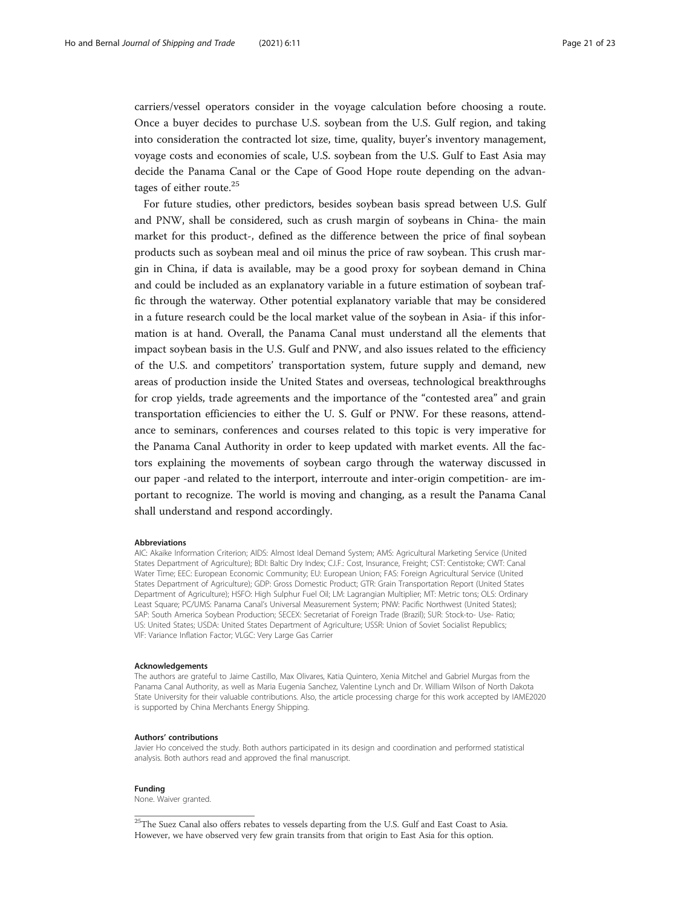carriers/vessel operators consider in the voyage calculation before choosing a route. Once a buyer decides to purchase U.S. soybean from the U.S. Gulf region, and taking into consideration the contracted lot size, time, quality, buyer's inventory management, voyage costs and economies of scale, U.S. soybean from the U.S. Gulf to East Asia may decide the Panama Canal or the Cape of Good Hope route depending on the advantages of either route.<sup>25</sup>

For future studies, other predictors, besides soybean basis spread between U.S. Gulf and PNW, shall be considered, such as crush margin of soybeans in China- the main market for this product-, defined as the difference between the price of final soybean products such as soybean meal and oil minus the price of raw soybean. This crush margin in China, if data is available, may be a good proxy for soybean demand in China and could be included as an explanatory variable in a future estimation of soybean traffic through the waterway. Other potential explanatory variable that may be considered in a future research could be the local market value of the soybean in Asia- if this information is at hand. Overall, the Panama Canal must understand all the elements that impact soybean basis in the U.S. Gulf and PNW, and also issues related to the efficiency of the U.S. and competitors' transportation system, future supply and demand, new areas of production inside the United States and overseas, technological breakthroughs for crop yields, trade agreements and the importance of the "contested area" and grain transportation efficiencies to either the U. S. Gulf or PNW. For these reasons, attendance to seminars, conferences and courses related to this topic is very imperative for the Panama Canal Authority in order to keep updated with market events. All the factors explaining the movements of soybean cargo through the waterway discussed in our paper -and related to the interport, interroute and inter-origin competition- are important to recognize. The world is moving and changing, as a result the Panama Canal shall understand and respond accordingly.

#### Abbreviations

AIC: Akaike Information Criterion; AIDS: Almost Ideal Demand System; AMS: Agricultural Marketing Service (United States Department of Agriculture); BDI: Baltic Dry Index; C.I.F.: Cost, Insurance, Freight; CST: Centistoke; CWT: Canal Water Time; EEC: European Economic Community; EU: European Union; FAS: Foreign Agricultural Service (United States Department of Agriculture); GDP: Gross Domestic Product; GTR: Grain Transportation Report (United States Department of Agriculture); HSFO: High Sulphur Fuel Oil; LM: Lagrangian Multiplier; MT: Metric tons; OLS: Ordinary Least Square; PC/UMS: Panama Canal's Universal Measurement System; PNW: Pacific Northwest (United States); SAP: South America Soybean Production; SECEX: Secretariat of Foreign Trade (Brazil); SUR: Stock-to- Use- Ratio; US: United States; USDA: United States Department of Agriculture; USSR: Union of Soviet Socialist Republics; VIF: Variance Inflation Factor; VLGC: Very Large Gas Carrier

#### Acknowledgements

The authors are grateful to Jaime Castillo, Max Olivares, Katia Quintero, Xenia Mitchel and Gabriel Murgas from the Panama Canal Authority, as well as Maria Eugenia Sanchez, Valentine Lynch and Dr. William Wilson of North Dakota State University for their valuable contributions. Also, the article processing charge for this work accepted by IAME2020 is supported by China Merchants Energy Shipping.

#### Authors' contributions

Javier Ho conceived the study. Both authors participated in its design and coordination and performed statistical analysis. Both authors read and approved the final manuscript.

#### Funding

None. Waiver granted.

 $^{25}\rm{The~Suez~Canal}$  also offers rebates to vessels departing from the U.S. Gulf and East Coast to Asia. However, we have observed very few grain transits from that origin to East Asia for this option.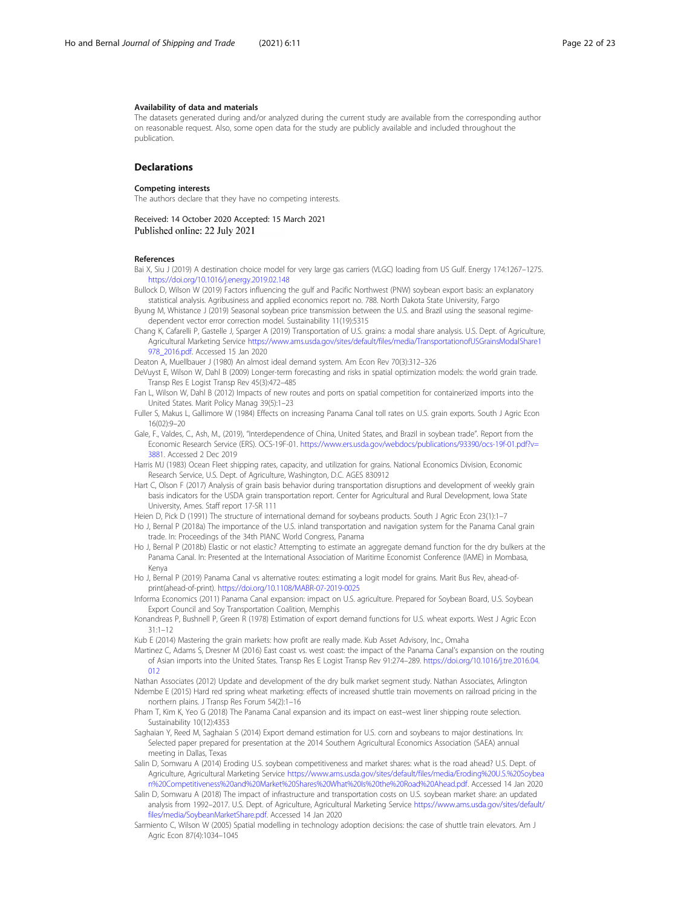#### <span id="page-21-0"></span>Availability of data and materials

The datasets generated during and/or analyzed during the current study are available from the corresponding author on reasonable request. Also, some open data for the study are publicly available and included throughout the publication.

#### Declarations

#### Competing interests

The authors declare that they have no competing interests.

Received: 14 October 2020 Accepted: 15 March 2021<br>Published online: 22 July 2021

#### References

- Bai X, Siu J (2019) A destination choice model for very large gas carriers (VLGC) loading from US Gulf. Energy 174:1267–1275. <https://doi.org/10.1016/j.energy.2019.02.148>
- Bullock D, Wilson W (2019) Factors influencing the gulf and Pacific Northwest (PNW) soybean export basis: an explanatory statistical analysis. Agribusiness and applied economics report no. 788. North Dakota State University, Fargo

Byung M, Whistance J (2019) Seasonal soybean price transmission between the U.S. and Brazil using the seasonal regimedependent vector error correction model. Sustainability 11(19):5315

Chang K, Cafarelli P, Gastelle J, Sparger A (2019) Transportation of U.S. grains: a modal share analysis. U.S. Dept. of Agriculture, Agricultural Marketing Service [https://www.ams.usda.gov/sites/default/files/media/TransportationofUSGrainsModalShare1](https://www.ams.usda.gov/sites/default/files/media/TransportationofUSGrainsModalShare1978_2016.pdf) [978\\_2016.pdf.](https://www.ams.usda.gov/sites/default/files/media/TransportationofUSGrainsModalShare1978_2016.pdf) Accessed 15 Jan 2020

Deaton A, Muellbauer J (1980) An almost ideal demand system. Am Econ Rev 70(3):312–326

DeVuyst E, Wilson W, Dahl B (2009) Longer-term forecasting and risks in spatial optimization models: the world grain trade. Transp Res E Logist Transp Rev 45(3):472–485

Fan L, Wilson W, Dahl B (2012) Impacts of new routes and ports on spatial competition for containerized imports into the United States. Marit Policy Manag 39(5):1–23

Fuller S, Makus L, Gallimore W (1984) Effects on increasing Panama Canal toll rates on U.S. grain exports. South J Agric Econ 16(02):9–20

Gale, F., Valdes, C., Ash, M., (2019), "Interdependence of China, United States, and Brazil in soybean trade". Report from the Economic Research Service (ERS). OCS-19F-01. [https://www.ers.usda.gov/webdocs/publications/93390/ocs-19f-01.pdf?v=](https://www.ers.usda.gov/webdocs/publications/93390/ocs-19f-01.pdf?v=3881) [3881](https://www.ers.usda.gov/webdocs/publications/93390/ocs-19f-01.pdf?v=3881). Accessed 2 Dec 2019

Harris MJ (1983) Ocean Fleet shipping rates, capacity, and utilization for grains. National Economics Division, Economic Research Service, U.S. Dept. of Agriculture, Washington, D.C. AGES 830912

Hart C, Olson F (2017) Analysis of grain basis behavior during transportation disruptions and development of weekly grain basis indicators for the USDA grain transportation report. Center for Agricultural and Rural Development, Iowa State University, Ames. Staff report 17-SR 111

Heien D, Pick D (1991) The structure of international demand for soybeans products. South J Agric Econ 23(1):1–7

- Ho J, Bernal P (2018a) The importance of the U.S. inland transportation and navigation system for the Panama Canal grain trade. In: Proceedings of the 34th PIANC World Congress, Panama
- Ho J, Bernal P (2018b) Elastic or not elastic? Attempting to estimate an aggregate demand function for the dry bulkers at the Panama Canal. In: Presented at the International Association of Maritime Economist Conference (IAME) in Mombasa, Kenya

Ho J, Bernal P (2019) Panama Canal vs alternative routes: estimating a logit model for grains. Marit Bus Rev, ahead-ofprint(ahead-of-print). <https://doi.org/10.1108/MABR-07-2019-0025>

Informa Economics (2011) Panama Canal expansion: impact on U.S. agriculture. Prepared for Soybean Board, U.S. Soybean Export Council and Soy Transportation Coalition, Memphis

Konandreas P, Bushnell P, Green R (1978) Estimation of export demand functions for U.S. wheat exports. West J Agric Econ 31:1–12

Kub E (2014) Mastering the grain markets: how profit are really made. Kub Asset Advisory, Inc., Omaha

Martinez C, Adams S, Dresner M (2016) East coast vs. west coast: the impact of the Panama Canal's expansion on the routing of Asian imports into the United States. Transp Res E Logist Transp Rev 91:274–289. [https://doi.org/10.1016/j.tre.2016.04.](https://doi.org/10.1016/j.tre.2016.04.012) [012](https://doi.org/10.1016/j.tre.2016.04.012)

- Nathan Associates (2012) Update and development of the dry bulk market segment study. Nathan Associates, Arlington Ndembe E (2015) Hard red spring wheat marketing: effects of increased shuttle train movements on railroad pricing in the northern plains. J Transp Res Forum 54(2):1–16
- Pham T, Kim K, Yeo G (2018) The Panama Canal expansion and its impact on east–west liner shipping route selection. Sustainability 10(12):4353
- Saghaian Y, Reed M, Saghaian S (2014) Export demand estimation for U.S. corn and soybeans to major destinations. In: Selected paper prepared for presentation at the 2014 Southern Agricultural Economics Association (SAEA) annual meeting in Dallas, Texas
- Salin D, Somwaru A (2014) Eroding U.S. soybean competitiveness and market shares: what is the road ahead? U.S. Dept. of Agriculture, Agricultural Marketing Service [https://www.ams.usda.gov/sites/default/files/media/Eroding%20U.S.%20Soybea](https://www.ams.usda.gov/sites/default/files/media/Eroding%20U.S.%20Soybean%20Competitiveness%20and%20Market%20Shares%20What%20Is%20the%20Road%20Ahead.pdf) [n%20Competitiveness%20and%20Market%20Shares%20What%20Is%20the%20Road%20Ahead.pdf](https://www.ams.usda.gov/sites/default/files/media/Eroding%20U.S.%20Soybean%20Competitiveness%20and%20Market%20Shares%20What%20Is%20the%20Road%20Ahead.pdf). Accessed 14 Jan 2020
- Salin D, Somwaru A (2018) The impact of infrastructure and transportation costs on U.S. soybean market share: an updated analysis from 1992–2017. U.S. Dept. of Agriculture, Agricultural Marketing Service [https://www.ams.usda.gov/sites/default/](https://www.ams.usda.gov/sites/default/files/media/SoybeanMarketShare.pdf) [files/media/SoybeanMarketShare.pdf](https://www.ams.usda.gov/sites/default/files/media/SoybeanMarketShare.pdf). Accessed 14 Jan 2020

Sarmiento C, Wilson W (2005) Spatial modelling in technology adoption decisions: the case of shuttle train elevators. Am J Agric Econ 87(4):1034–1045